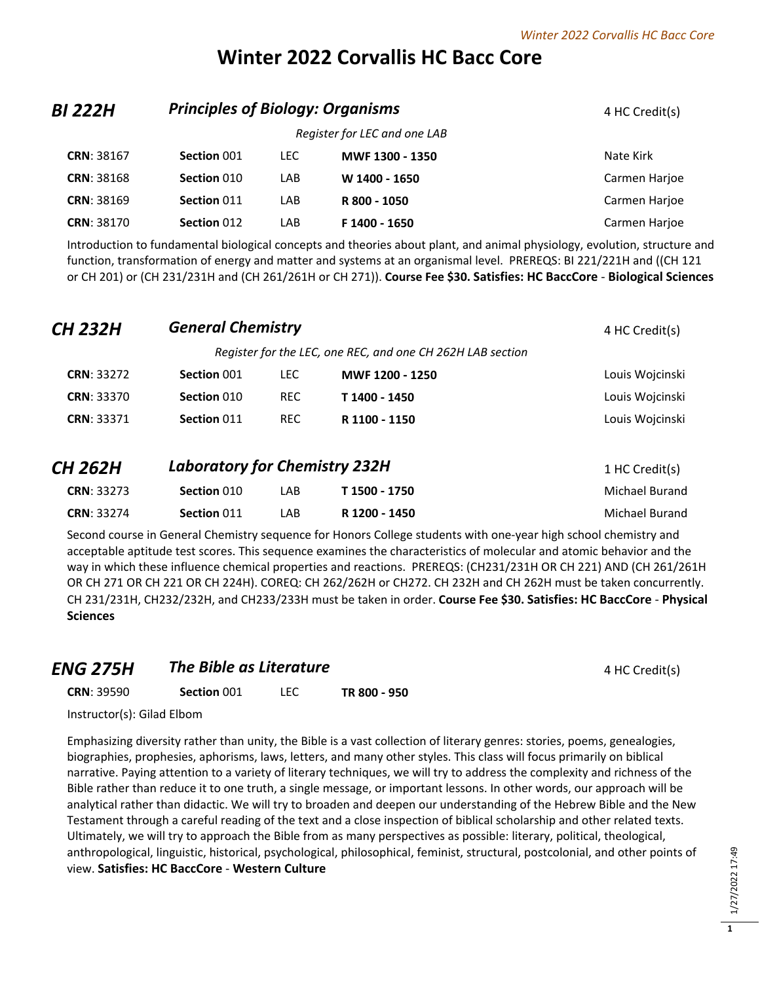# **Winter 2022 Corvallis HC Bacc Core**

| BI 222H           | <b>Principles of Biology: Organisms</b> | 4 HC Credit(s) |                              |               |
|-------------------|-----------------------------------------|----------------|------------------------------|---------------|
|                   |                                         |                | Register for LEC and one LAB |               |
| <b>CRN: 38167</b> | Section 001                             | <b>LEC</b>     | MWF 1300 - 1350              | Nate Kirk     |
| <b>CRN: 38168</b> | Section 010                             | LAB            | W 1400 - 1650                | Carmen Harjoe |
| <b>CRN: 38169</b> | Section 011                             | LAB            | R 800 - 1050                 | Carmen Harjoe |
| <b>CRN: 38170</b> | Section 012                             | LAB            | F 1400 - 1650                | Carmen Harjoe |
|                   |                                         |                |                              |               |

Introduction to fundamental biological concepts and theories about plant, and animal physiology, evolution, structure and function, transformation of energy and matter and systems at an organismal level. PREREQS: BI 221/221H and ((CH 121 or CH 201) or (CH 231/231H and (CH 261/261H or CH 271)). **Course Fee \$30. Satisfies: HC BaccCore** - **Biological Sciences**

| <b>CH 232H</b>    | 4 HC Credit(s)                       |            |                                                            |                 |
|-------------------|--------------------------------------|------------|------------------------------------------------------------|-----------------|
|                   |                                      |            | Register for the LEC, one REC, and one CH 262H LAB section |                 |
| <b>CRN: 33272</b> | Section 001                          | <b>LEC</b> | MWF 1200 - 1250                                            | Louis Wojcinski |
| <b>CRN: 33370</b> | Section 010                          | <b>REC</b> | T 1400 - 1450                                              | Louis Woicinski |
| <b>CRN: 33371</b> | Section 011                          | <b>REC</b> | R 1100 - 1150                                              | Louis Wojcinski |
| <b>CH 262H</b>    | <b>Laboratory for Chemistry 232H</b> |            |                                                            | 1 HC Credit(s)  |
| <b>CRN: 33273</b> | Section 010                          | LAB        | T 1500 - 1750                                              | Michael Burand  |
| <b>CRN: 33274</b> | Section 011                          | LAB        | R 1200 - 1450                                              | Michael Burand  |

Second course in General Chemistry sequence for Honors College students with one-year high school chemistry and acceptable aptitude test scores. This sequence examines the characteristics of molecular and atomic behavior and the way in which these influence chemical properties and reactions. PREREQS: (CH231/231H OR CH 221) AND (CH 261/261H OR CH 271 OR CH 221 OR CH 224H). COREQ: CH 262/262H or CH272. CH 232H and CH 262H must be taken concurrently. CH 231/231H, CH232/232H, and CH233/233H must be taken in order. **Course Fee \$30. Satisfies: HC BaccCore** - **Physical Sciences**

#### *ENG 275H* The Bible as Literature **All Assembly 275H** *A* HC Credit(s)

**CRN**: 39590 **Section** 001 LEC **TR 800 - 950**

Instructor(s): Gilad Elbom

Emphasizing diversity rather than unity, the Bible is a vast collection of literary genres: stories, poems, genealogies, biographies, prophesies, aphorisms, laws, letters, and many other styles. This class will focus primarily on biblical narrative. Paying attention to a variety of literary techniques, we will try to address the complexity and richness of the Bible rather than reduce it to one truth, a single message, or important lessons. In other words, our approach will be analytical rather than didactic. We will try to broaden and deepen our understanding of the Hebrew Bible and the New Testament through a careful reading of the text and a close inspection of biblical scholarship and other related texts. Ultimately, we will try to approach the Bible from as many perspectives as possible: literary, political, theological, anthropological, linguistic, historical, psychological, philosophical, feminist, structural, postcolonial, and other points of view. **Satisfies: HC BaccCore** - **Western Culture**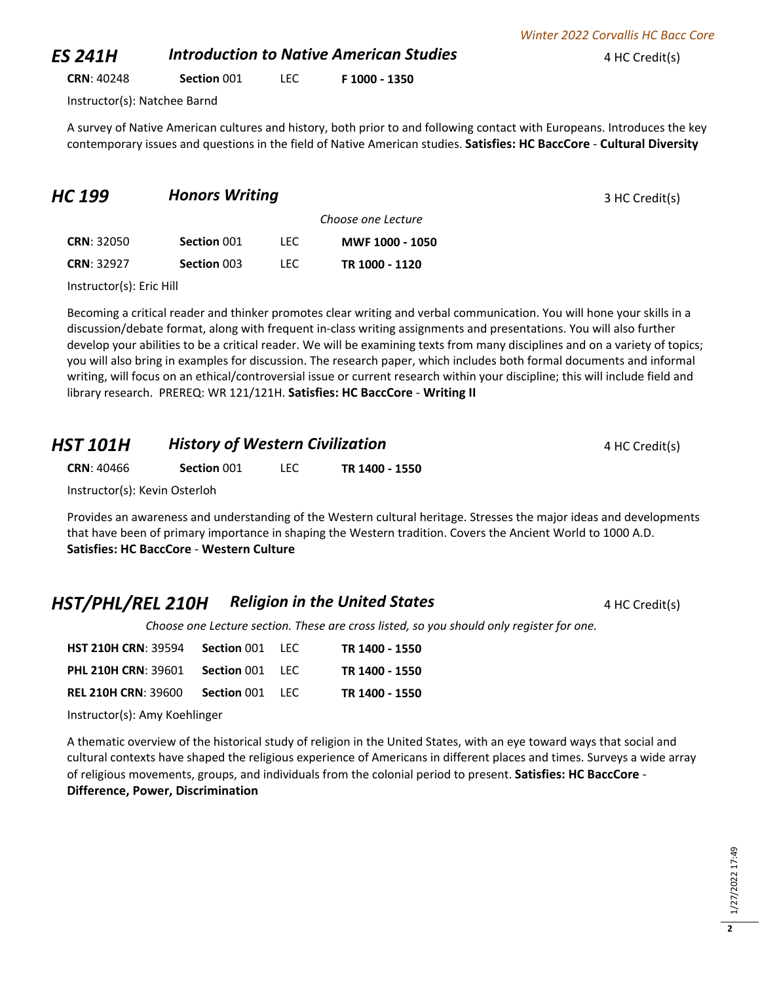**CRN**: 40248 **Section** 001 LEC **F 1000 - 1350**

Instructor(s): Natchee Barnd

A survey of Native American cultures and history, both prior to and following contact with Europeans. Introduces the key contemporary issues and questions in the field of Native American studies. **Satisfies: HC BaccCore** - **Cultural Diversity**

| <b>Honors Writing</b> |      |                 | 3 HC Credit(s)     |
|-----------------------|------|-----------------|--------------------|
|                       |      |                 |                    |
| Section 001           | LEC. | MWF 1000 - 1050 |                    |
| Section 003           | LEC. | TR 1000 - 1120  |                    |
|                       |      |                 | Choose one Lecture |

Instructor(s): Eric Hill

Becoming a critical reader and thinker promotes clear writing and verbal communication. You will hone your skills in a discussion/debate format, along with frequent in-class writing assignments and presentations. You will also further develop your abilities to be a critical reader. We will be examining texts from many disciplines and on a variety of topics; you will also bring in examples for discussion. The research paper, which includes both formal documents and informal writing, will focus on an ethical/controversial issue or current research within your discipline; this will include field and library research. PREREQ: WR 121/121H. **Satisfies: HC BaccCore** - **Writing II**

| HST 101H                      | <b>History of Western Civilization</b> |      |                | 4 HC Credit(s) |
|-------------------------------|----------------------------------------|------|----------------|----------------|
| <b>CRN: 40466</b>             | Section 001                            | TEC. | TR 1400 - 1550 |                |
| Instructor(s): Kevin Osterloh |                                        |      |                |                |

Provides an awareness and understanding of the Western cultural heritage. Stresses the major ideas and developments that have been of primary importance in shaping the Western tradition. Covers the Ancient World to 1000 A.D. **Satisfies: HC BaccCore** - **Western Culture**

## **HST/PHL/REL 210H Religion in the United States 4 HC Credit(s)**

*Choose one Lecture section. These are cross listed, so you should only register for one.* 

| <b>HST 210H CRN: 39594</b>                 | <b>Section 001 LEC</b> | TR 1400 - 1550 |
|--------------------------------------------|------------------------|----------------|
| <b>PHL 210H CRN: 39601 Section 001 LEC</b> |                        | TR 1400 - 1550 |
| <b>REL 210H CRN: 39600</b>                 | <b>Section 001 LEC</b> | TR 1400 - 1550 |

Instructor(s): Amy Koehlinger

A thematic overview of the historical study of religion in the United States, with an eye toward ways that social and cultural contexts have shaped the religious experience of Americans in different places and times. Surveys a wide array of religious movements, groups, and individuals from the colonial period to present. **Satisfies: HC BaccCore** - **Difference, Power, Discrimination**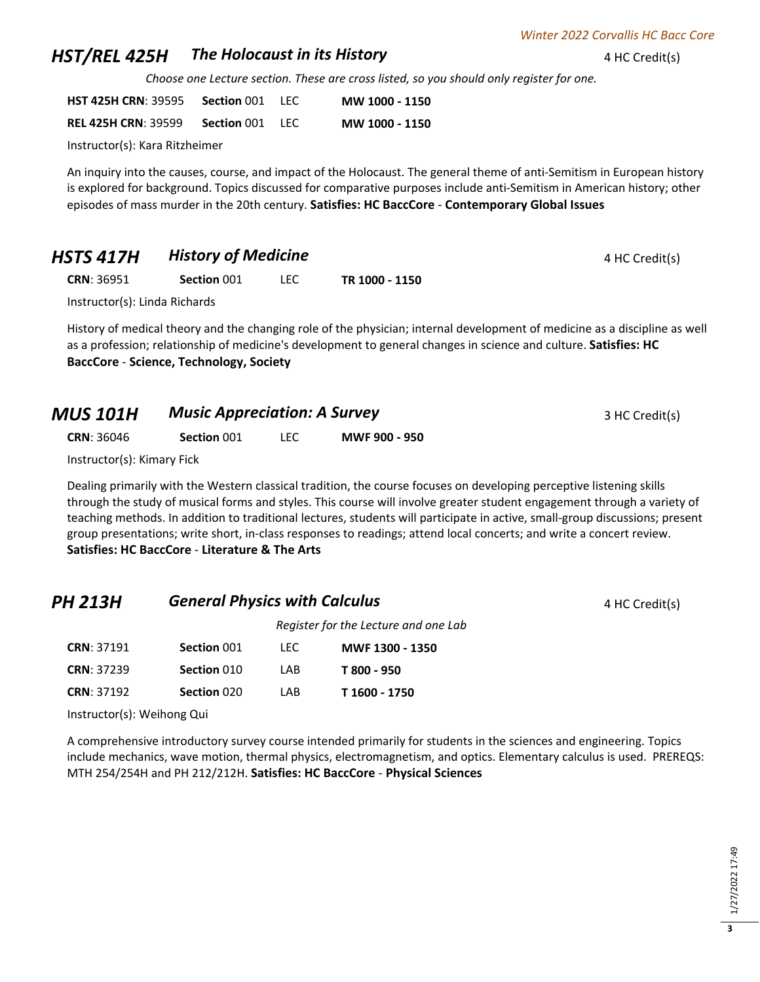## **HST/REL 425H • The Holocaust in its History ADD 4 HC Credit(s)**

*Choose one Lecture section. These are cross listed, so you should only register for one.* 

| <b>HST 425H CRN: 39595</b> | Section 001 | TEC. | MW 1000 - 1150 |
|----------------------------|-------------|------|----------------|
| <b>REL 425H CRN: 39599</b> | Section 001 | -LEC | MW 1000 - 1150 |

Instructor(s): Kara Ritzheimer

An inquiry into the causes, course, and impact of the Holocaust. The general theme of anti-Semitism in European history is explored for background. Topics discussed for comparative purposes include anti-Semitism in American history; other episodes of mass murder in the 20th century. **Satisfies: HC BaccCore** - **Contemporary Global Issues**

## **HSTS 417H History of Medicine All Auditors** 4 HC Credit(s)

**CRN**: 36951 **Section** 001 LEC **TR 1000 - 1150**

Instructor(s): Linda Richards

History of medical theory and the changing role of the physician; internal development of medicine as a discipline as well as a profession; relationship of medicine's development to general changes in science and culture. **Satisfies: HC BaccCore** - **Science, Technology, Society**

| MUS 101H | <b>Music Appreciation: A Survey</b> | 3 HC Credit(s) |
|----------|-------------------------------------|----------------|
|          |                                     |                |

**CRN**: 36046 **Section** 001 LEC **MWF 900 - 950**

Instructor(s): Kimary Fick

Dealing primarily with the Western classical tradition, the course focuses on developing perceptive listening skills through the study of musical forms and styles. This course will involve greater student engagement through a variety of teaching methods. In addition to traditional lectures, students will participate in active, small-group discussions; present group presentations; write short, in-class responses to readings; attend local concerts; and write a concert review. **Satisfies: HC BaccCore** - **Literature & The Arts**

# **PH 213H General Physics with Calculus A According the Calculus** 4 HC Credit(s) *Register for the Lecture and one Lab* **CRN**: 37191 **Section** 001 LEC **MWF 1300 - 1350**

| <b>CRN: 37239</b> | Section 010 | I AB | T 800 - 950   |
|-------------------|-------------|------|---------------|
| <b>CRN: 37192</b> | Section 020 | I AB | T 1600 - 1750 |

Instructor(s): Weihong Qui

A comprehensive introductory survey course intended primarily for students in the sciences and engineering. Topics include mechanics, wave motion, thermal physics, electromagnetism, and optics. Elementary calculus is used. PREREQS: MTH 254/254H and PH 212/212H. **Satisfies: HC BaccCore** - **Physical Sciences**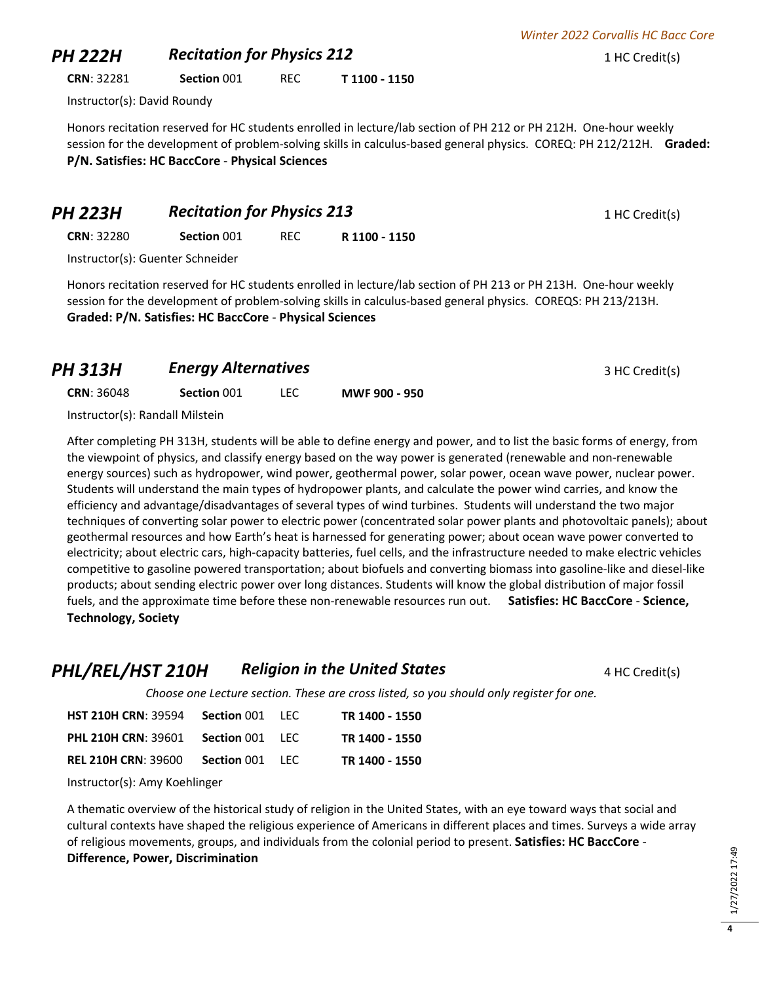# **PH 222H Recitation for Physics 212** 1 HC Credit(s)

**CRN**: 32281 **Section** 001 REC **T 1100 - 1150**

Instructor(s): David Roundy

Honors recitation reserved for HC students enrolled in lecture/lab section of PH 212 or PH 212H. One-hour weekly session for the development of problem-solving skills in calculus-based general physics. COREQ: PH 212/212H. **Graded: P/N. Satisfies: HC BaccCore** - **Physical Sciences**

**PH 223H Recitation for Physics 213** 1 HC Credit(s)

**CRN**: 32280 **Section** 001 REC **R 1100 - 1150**

Instructor(s): Guenter Schneider

Honors recitation reserved for HC students enrolled in lecture/lab section of PH 213 or PH 213H. One-hour weekly session for the development of problem-solving skills in calculus-based general physics. COREQS: PH 213/213H. **Graded: P/N. Satisfies: HC BaccCore** - **Physical Sciences**

| PH 313H           | <b>Energy Alternatives</b> |      |               | 3 HC Credit(s) |
|-------------------|----------------------------|------|---------------|----------------|
| <b>CRN: 36048</b> | Section 001                | LEC. | MWF 900 - 950 |                |
|                   |                            |      |               |                |

Instructor(s): Randall Milstein

After completing PH 313H, students will be able to define energy and power, and to list the basic forms of energy, from the viewpoint of physics, and classify energy based on the way power is generated (renewable and non-renewable energy sources) such as hydropower, wind power, geothermal power, solar power, ocean wave power, nuclear power. Students will understand the main types of hydropower plants, and calculate the power wind carries, and know the efficiency and advantage/disadvantages of several types of wind turbines. Students will understand the two major techniques of converting solar power to electric power (concentrated solar power plants and photovoltaic panels); about geothermal resources and how Earth's heat is harnessed for generating power; about ocean wave power converted to electricity; about electric cars, high-capacity batteries, fuel cells, and the infrastructure needed to make electric vehicles competitive to gasoline powered transportation; about biofuels and converting biomass into gasoline-like and diesel-like products; about sending electric power over long distances. Students will know the global distribution of major fossil fuels, and the approximate time before these non-renewable resources run out. **Satisfies: HC BaccCore** - **Science, Technology, Society**

**PHL/REL/HST 210H** *Religion in the United States* **4 HC Credit(s)** 

*Choose one Lecture section. These are cross listed, so you should only register for one.* 

| <b>HST 210H CRN: 39594</b> | <b>Section 001 LEC</b> | TR 1400 - 1550 |
|----------------------------|------------------------|----------------|
| <b>PHL 210H CRN: 39601</b> | <b>Section 001 LEC</b> | TR 1400 - 1550 |
| <b>REL 210H CRN: 39600</b> | <b>Section 001 LEC</b> | TR 1400 - 1550 |

Instructor(s): Amy Koehlinger

A thematic overview of the historical study of religion in the United States, with an eye toward ways that social and cultural contexts have shaped the religious experience of Americans in different places and times. Surveys a wide array of religious movements, groups, and individuals from the colonial period to present. **Satisfies: HC BaccCore** - **Difference, Power, Discrimination**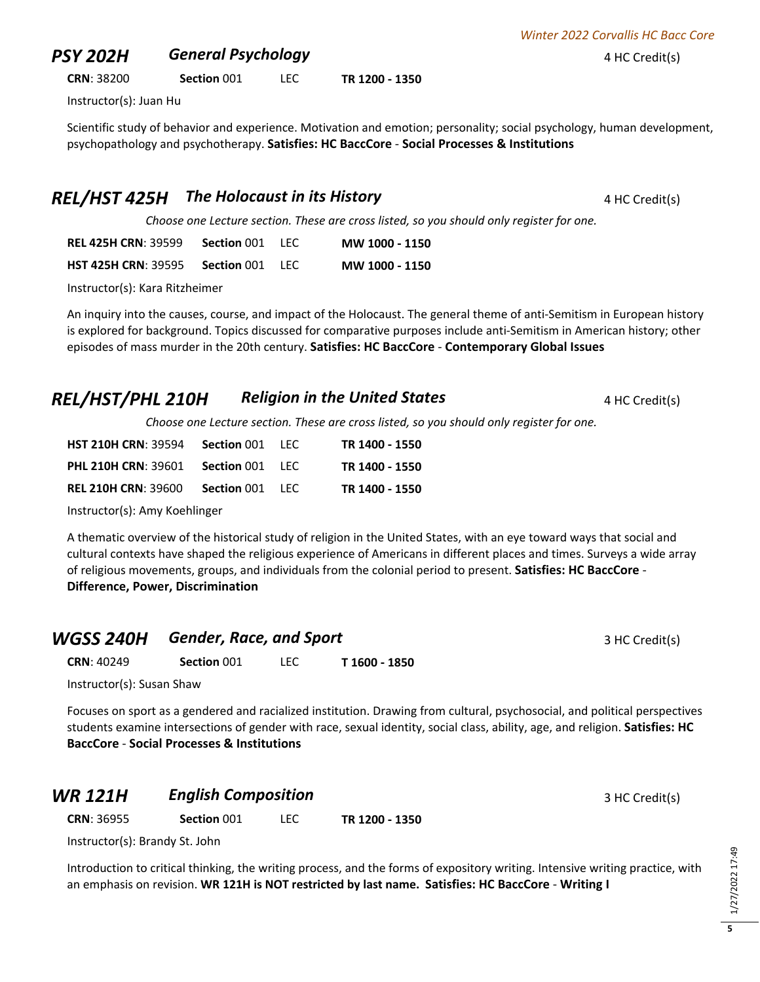## **PSY 202H General Psychology All According to the AMEX 4 HC Credit(s)**

**CRN**: 38200 **Section** 001 LEC **TR 1200 - 1350**

Instructor(s): Juan Hu

Scientific study of behavior and experience. Motivation and emotion; personality; social psychology, human development, psychopathology and psychotherapy. **Satisfies: HC BaccCore** - **Social Processes & Institutions**

## **REL/HST 425H** The Holocaust in its History **ALCO 24 HC Credit(s)**

*Choose one Lecture section. These are cross listed, so you should only register for one.* 

**REL 425H CRN**: 39599 **Section** 001 LEC **MW 1000 - 1150 HST 425H CRN**: 39595 **Section** 001 LEC **MW 1000 - 1150**

Instructor(s): Kara Ritzheimer

An inquiry into the causes, course, and impact of the Holocaust. The general theme of anti-Semitism in European history is explored for background. Topics discussed for comparative purposes include anti-Semitism in American history; other episodes of mass murder in the 20th century. **Satisfies: HC BaccCore** - **Contemporary Global Issues**

### **REL/HST/PHL 210H** *Religion in the United States* **4 HC Credit(s)**

*Choose one Lecture section. These are cross listed, so you should only register for one.* 

| <b>HST 210H CRN: 39594</b> | <b>Section 001 LEC</b> | TR 1400 - 1550 |
|----------------------------|------------------------|----------------|
| <b>PHL 210H CRN: 39601</b> | <b>Section 001 LEC</b> | TR 1400 - 1550 |
| <b>REL 210H CRN: 39600</b> | <b>Section 001 LEC</b> | TR 1400 - 1550 |

Instructor(s): Amy Koehlinger

A thematic overview of the historical study of religion in the United States, with an eye toward ways that social and cultural contexts have shaped the religious experience of Americans in different places and times. Surveys a wide array of religious movements, groups, and individuals from the colonial period to present. **Satisfies: HC BaccCore** - **Difference, Power, Discrimination**

|                   | <b>WGSS 240H</b> Gender, Race, and Sport |  |               | 3 HC Credit(s) |
|-------------------|------------------------------------------|--|---------------|----------------|
| <b>CRN: 40249</b> | Section 001                              |  | T 1600 - 1850 |                |

Instructor(s): Susan Shaw

Focuses on sport as a gendered and racialized institution. Drawing from cultural, psychosocial, and political perspectives students examine intersections of gender with race, sexual identity, social class, ability, age, and religion. **Satisfies: HC BaccCore** - **Social Processes & Institutions**

#### **WR 121H English Composition English Composition English Composition 3 HC Credit(s)**

**CRN**: 36955 **Section** 001 LEC **TR 1200 - 1350**

Instructor(s): Brandy St. John

Introduction to critical thinking, the writing process, and the forms of expository writing. Intensive writing practice, with an emphasis on revision. **WR 121H is NOT restricted by last name. Satisfies: HC BaccCore** - **Writing I**

**5**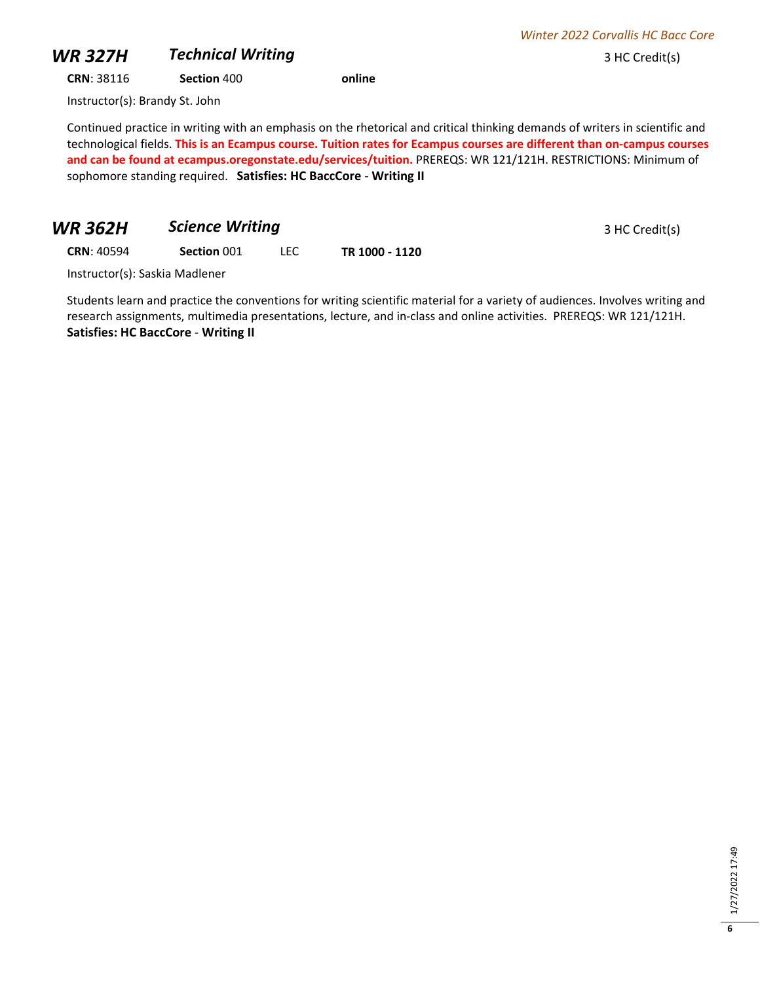## **WR 327H** *Technical Writing* 3 HC Credit(s)

**CRN**: 38116 **Section** 400 **online**

Instructor(s): Brandy St. John

Continued practice in writing with an emphasis on the rhetorical and critical thinking demands of writers in scientific and technological fields. **This is an Ecampus course. Tuition rates for Ecampus courses are different than on-campus courses and can be found at ecampus.oregonstate.edu/services/tuition.** PREREQS: WR 121/121H. RESTRICTIONS: Minimum of sophomore standing required. **Satisfies: HC BaccCore** - **Writing II**

## **WR 362H •• Science Writing 3 HC Credit(s)**

**CRN**: 40594 **Section** 001 LEC **TR 1000 - 1120**

Instructor(s): Saskia Madlener

Students learn and practice the conventions for writing scientific material for a variety of audiences. Involves writing and research assignments, multimedia presentations, lecture, and in-class and online activities. PREREQS: WR 121/121H. **Satisfies: HC BaccCore** - **Writing II**

*Winter 2022 Corvallis HC Bacc Core*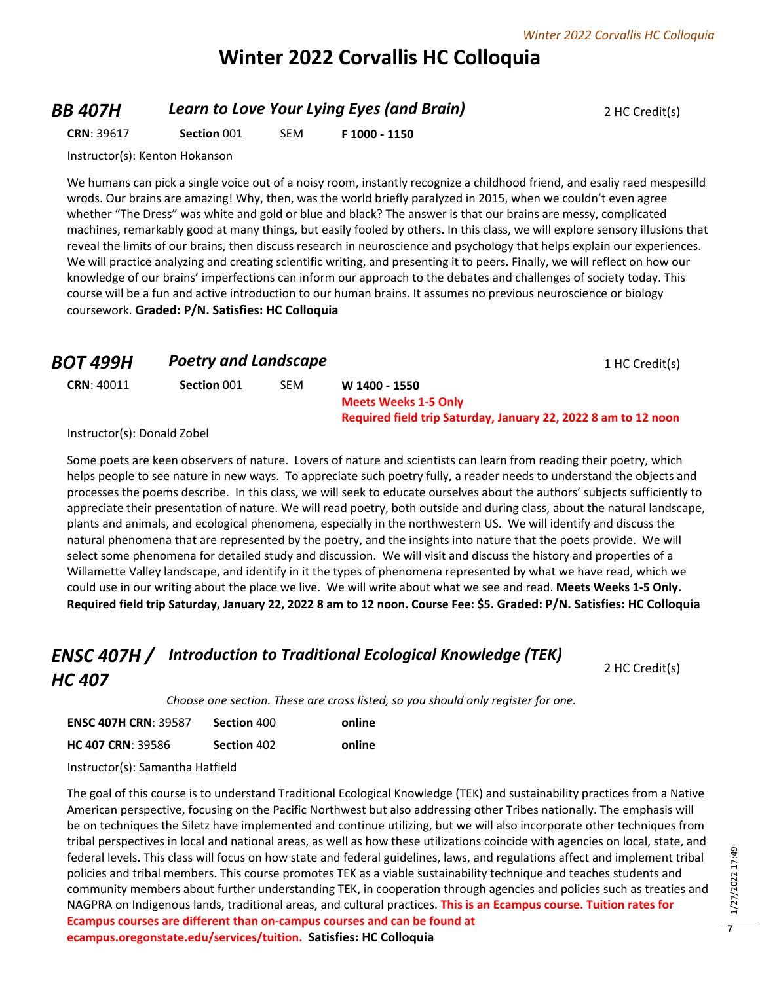# **Winter 2022 Corvallis HC Colloquia**

#### **BB 407H Learn to Love Your Lying Eyes (and Brain)** 2 HC Credit(s)

2 HC Credit(s)

**CRN**: 39617 **Section** 001 SEM **F 1000 - 1150**

Instructor(s): Kenton Hokanson

We humans can pick a single voice out of a noisy room, instantly recognize a childhood friend, and esaliy raed mespesilld wrods. Our brains are amazing! Why, then, was the world briefly paralyzed in 2015, when we couldn't even agree whether "The Dress" was white and gold or blue and black? The answer is that our brains are messy, complicated machines, remarkably good at many things, but easily fooled by others. In this class, we will explore sensory illusions that reveal the limits of our brains, then discuss research in neuroscience and psychology that helps explain our experiences. We will practice analyzing and creating scientific writing, and presenting it to peers. Finally, we will reflect on how our knowledge of our brains' imperfections can inform our approach to the debates and challenges of society today. This course will be a fun and active introduction to our human brains. It assumes no previous neuroscience or biology coursework. **Graded: P/N. Satisfies: HC Colloquia**

| <b>BOT 499H</b>        | <b>Poetry and Landscape</b> |            | 1 HC Credit(s)                                                                                                 |
|------------------------|-----------------------------|------------|----------------------------------------------------------------------------------------------------------------|
| <b>CRN: 40011</b><br>. | Section 001                 | <b>SEM</b> | W 1400 - 1550<br><b>Meets Weeks 1-5 Only</b><br>Required field trip Saturday, January 22, 2022 8 am to 12 noon |

Instructor(s): Donald Zobel

Some poets are keen observers of nature. Lovers of nature and scientists can learn from reading their poetry, which helps people to see nature in new ways. To appreciate such poetry fully, a reader needs to understand the objects and processes the poems describe. In this class, we will seek to educate ourselves about the authors' subjects sufficiently to appreciate their presentation of nature. We will read poetry, both outside and during class, about the natural landscape, plants and animals, and ecological phenomena, especially in the northwestern US. We will identify and discuss the natural phenomena that are represented by the poetry, and the insights into nature that the poets provide. We will select some phenomena for detailed study and discussion. We will visit and discuss the history and properties of a Willamette Valley landscape, and identify in it the types of phenomena represented by what we have read, which we could use in our writing about the place we live. We will write about what we see and read. **Meets Weeks 1-5 Only. Required field trip Saturday, January 22, 2022 8 am to 12 noon. Course Fee: \$5. Graded: P/N. Satisfies: HC Colloquia**

# *ENSC 407H / Introduction to Traditional Ecological Knowledge (TEK) HC 407*

*Choose one section. These are cross listed, so you should only register for one.* 

| <b>ENSC 407H CRN: 39587</b> | Section 400 | online |
|-----------------------------|-------------|--------|
| <b>HC 407 CRN: 39586</b>    | Section 402 | online |

Instructor(s): Samantha Hatfield

The goal of this course is to understand Traditional Ecological Knowledge (TEK) and sustainability practices from a Native American perspective, focusing on the Pacific Northwest but also addressing other Tribes nationally. The emphasis will be on techniques the Siletz have implemented and continue utilizing, but we will also incorporate other techniques from tribal perspectives in local and national areas, as well as how these utilizations coincide with agencies on local, state, and federal levels. This class will focus on how state and federal guidelines, laws, and regulations affect and implement tribal policies and tribal members. This course promotes TEK as a viable sustainability technique and teaches students and community members about further understanding TEK, in cooperation through agencies and policies such as treaties and NAGPRA on Indigenous lands, traditional areas, and cultural practices. **This is an Ecampus course. Tuition rates for Ecampus courses are different than on-campus courses and can be found at ecampus.oregonstate.edu/services/tuition. Satisfies: HC Colloquia**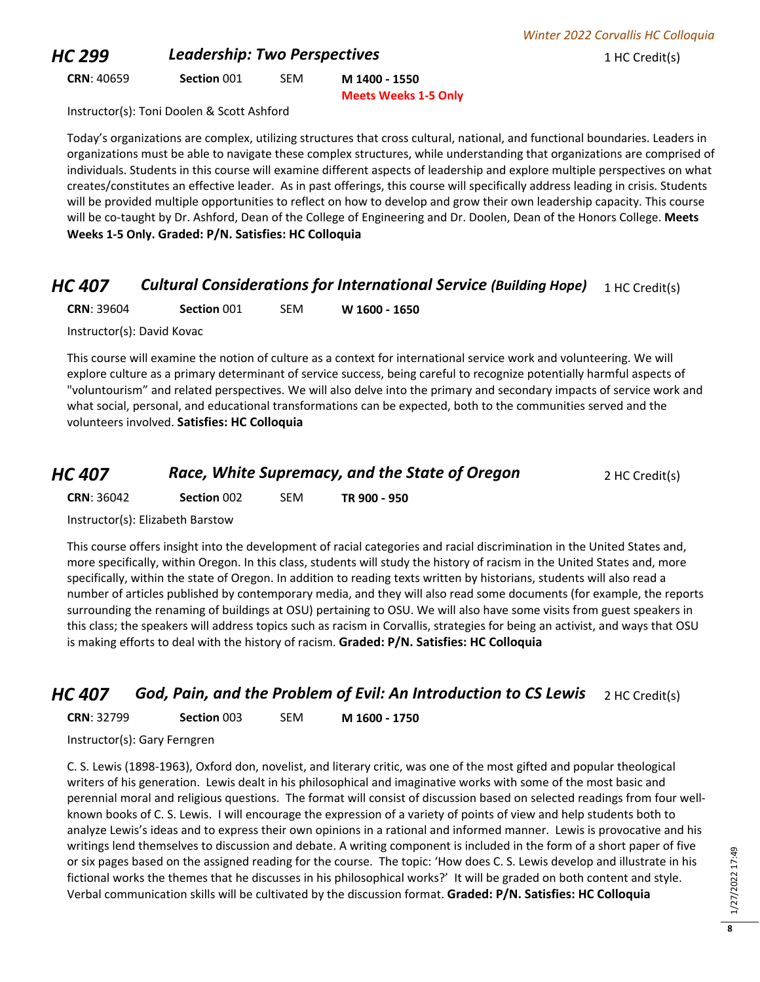## **HC 299 Leadership: Two Perspectives 1 HC Credit(s) 1 HC Credit(s)**

**CRN**: 40659 **Section** 001 SEM **M 1400 - 1550**

**Meets Weeks 1-5 Only**

Instructor(s): Toni Doolen & Scott Ashford

Today's organizations are complex, utilizing structures that cross cultural, national, and functional boundaries. Leaders in organizations must be able to navigate these complex structures, while understanding that organizations are comprised of individuals. Students in this course will examine different aspects of leadership and explore multiple perspectives on what creates/constitutes an effective leader. As in past offerings, this course will specifically address leading in crisis. Students will be provided multiple opportunities to reflect on how to develop and grow their own leadership capacity. This course will be co-taught by Dr. Ashford, Dean of the College of Engineering and Dr. Doolen, Dean of the Honors College. **Meets Weeks 1-5 Only. Graded: P/N. Satisfies: HC Colloquia**

## *HC 407 Cultural Considerations for International Service (Building Hope)* 1 HC Credit(s)

**CRN**: 39604 **Section** 001 SEM **W 1600 - 1650**

Instructor(s): David Kovac

This course will examine the notion of culture as a context for international service work and volunteering. We will explore culture as a primary determinant of service success, being careful to recognize potentially harmful aspects of "voluntourism" and related perspectives. We will also delve into the primary and secondary impacts of service work and what social, personal, and educational transformations can be expected, both to the communities served and the volunteers involved. **Satisfies: HC Colloquia**

| <b>HC 407</b> | Race, White Supremacy, and the State of Oregon | 2 HC Credit(s) |
|---------------|------------------------------------------------|----------------|
|---------------|------------------------------------------------|----------------|

**CRN**: 36042 **Section** 002 SEM **TR 900 - 950**

Instructor(s): Elizabeth Barstow

This course offers insight into the development of racial categories and racial discrimination in the United States and, more specifically, within Oregon. In this class, students will study the history of racism in the United States and, more specifically, within the state of Oregon. In addition to reading texts written by historians, students will also read a number of articles published by contemporary media, and they will also read some documents (for example, the reports surrounding the renaming of buildings at OSU) pertaining to OSU. We will also have some visits from guest speakers in this class; the speakers will address topics such as racism in Corvallis, strategies for being an activist, and ways that OSU is making efforts to deal with the history of racism. **Graded: P/N. Satisfies: HC Colloquia**

*HC 407 God, Pain, and the Problem of Evil: An Introduction to CS Lewis* 2 HC Credit(s)

| <b>CRN: 32799</b> | Section 003 | <b>SEM</b> | M 1600 - 1750 |
|-------------------|-------------|------------|---------------|
|-------------------|-------------|------------|---------------|

Instructor(s): Gary Ferngren

C. S. Lewis (1898-1963), Oxford don, novelist, and literary critic, was one of the most gifted and popular theological writers of his generation. Lewis dealt in his philosophical and imaginative works with some of the most basic and perennial moral and religious questions. The format will consist of discussion based on selected readings from four wellknown books of C. S. Lewis. I will encourage the expression of a variety of points of view and help students both to analyze Lewis's ideas and to express their own opinions in a rational and informed manner. Lewis is provocative and his writings lend themselves to discussion and debate. A writing component is included in the form of a short paper of five or six pages based on the assigned reading for the course. The topic: 'How does C. S. Lewis develop and illustrate in his fictional works the themes that he discusses in his philosophical works?' It will be graded on both content and style. Verbal communication skills will be cultivated by the discussion format. **Graded: P/N. Satisfies: HC Colloquia**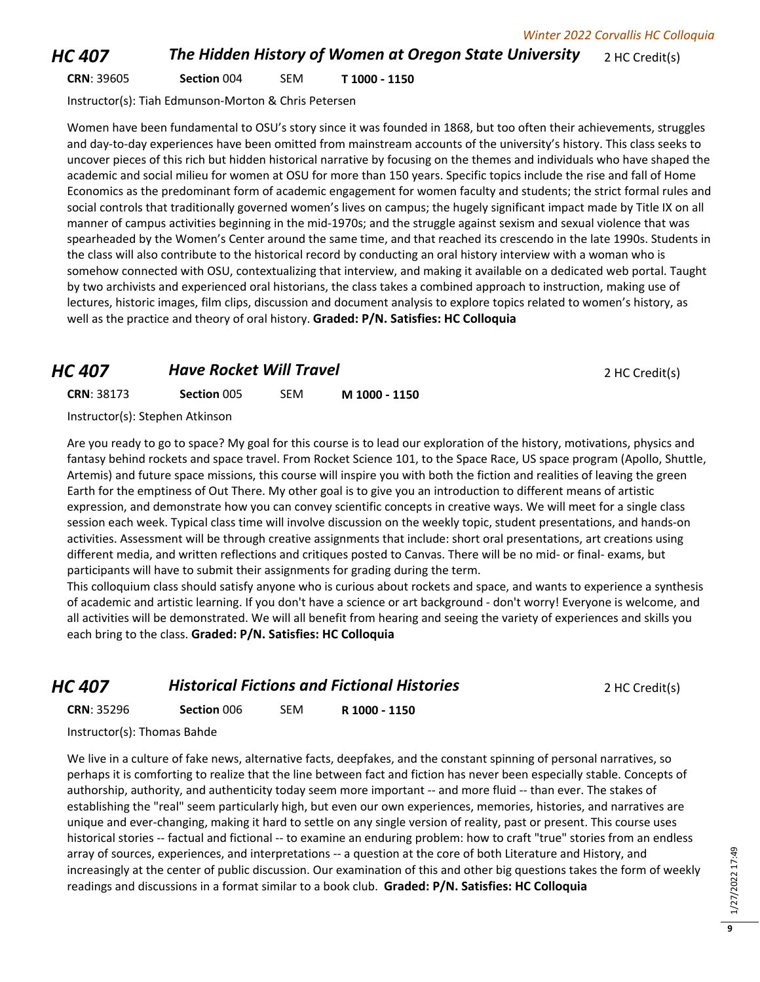### *HC 407* **The Hidden History of Women at Oregon State University** 2 HC Credit(s)

**CRN**: 39605 **Section** 004 SEM **T 1000 - 1150**

Instructor(s): Tiah Edmunson-Morton & Chris Petersen

Women have been fundamental to OSU's story since it was founded in 1868, but too often their achievements, struggles and day-to-day experiences have been omitted from mainstream accounts of the university's history. This class seeks to uncover pieces of this rich but hidden historical narrative by focusing on the themes and individuals who have shaped the academic and social milieu for women at OSU for more than 150 years. Specific topics include the rise and fall of Home Economics as the predominant form of academic engagement for women faculty and students; the strict formal rules and social controls that traditionally governed women's lives on campus; the hugely significant impact made by Title IX on all manner of campus activities beginning in the mid-1970s; and the struggle against sexism and sexual violence that was spearheaded by the Women's Center around the same time, and that reached its crescendo in the late 1990s. Students in the class will also contribute to the historical record by conducting an oral history interview with a woman who is somehow connected with OSU, contextualizing that interview, and making it available on a dedicated web portal. Taught by two archivists and experienced oral historians, the class takes a combined approach to instruction, making use of lectures, historic images, film clips, discussion and document analysis to explore topics related to women's history, as well as the practice and theory of oral history. **Graded: P/N. Satisfies: HC Colloquia**

### *HC 407* **Have Rocket Will Travel 1999** *PHC 407 HC Credit(s)*

| <b>CRN: 38173</b>                            | Section 005 | <b>SEM</b> | M 1000 - 1150 |
|----------------------------------------------|-------------|------------|---------------|
| $Instruation(c),$ $C$ tanhan $A$ t $i$ incan |             |            |               |

Instructor(s): Stephen Atkinson

Are you ready to go to space? My goal for this course is to lead our exploration of the history, motivations, physics and fantasy behind rockets and space travel. From Rocket Science 101, to the Space Race, US space program (Apollo, Shuttle, Artemis) and future space missions, this course will inspire you with both the fiction and realities of leaving the green Earth for the emptiness of Out There. My other goal is to give you an introduction to different means of artistic expression, and demonstrate how you can convey scientific concepts in creative ways. We will meet for a single class session each week. Typical class time will involve discussion on the weekly topic, student presentations, and hands-on activities. Assessment will be through creative assignments that include: short oral presentations, art creations using different media, and written reflections and critiques posted to Canvas. There will be no mid- or final- exams, but participants will have to submit their assignments for grading during the term.

This colloquium class should satisfy anyone who is curious about rockets and space, and wants to experience a synthesis of academic and artistic learning. If you don't have a science or art background - don't worry! Everyone is welcome, and all activities will be demonstrated. We will all benefit from hearing and seeing the variety of experiences and skills you each bring to the class. **Graded: P/N. Satisfies: HC Colloquia**

| HC 407 | <b>Historical Fictions and Fictional Histories</b> | 2 HC Credit(s) |
|--------|----------------------------------------------------|----------------|
|        |                                                    |                |

**CRN**: 35296 **Section** 006 SEM **R 1000 - 1150**

Instructor(s): Thomas Bahde

We live in a culture of fake news, alternative facts, deepfakes, and the constant spinning of personal narratives, so perhaps it is comforting to realize that the line between fact and fiction has never been especially stable. Concepts of authorship, authority, and authenticity today seem more important -- and more fluid -- than ever. The stakes of establishing the "real" seem particularly high, but even our own experiences, memories, histories, and narratives are unique and ever-changing, making it hard to settle on any single version of reality, past or present. This course uses historical stories -- factual and fictional -- to examine an enduring problem: how to craft "true" stories from an endless array of sources, experiences, and interpretations -- a question at the core of both Literature and History, and increasingly at the center of public discussion. Our examination of this and other big questions takes the form of weekly readings and discussions in a format similar to a book club. **Graded: P/N. Satisfies: HC Colloquia**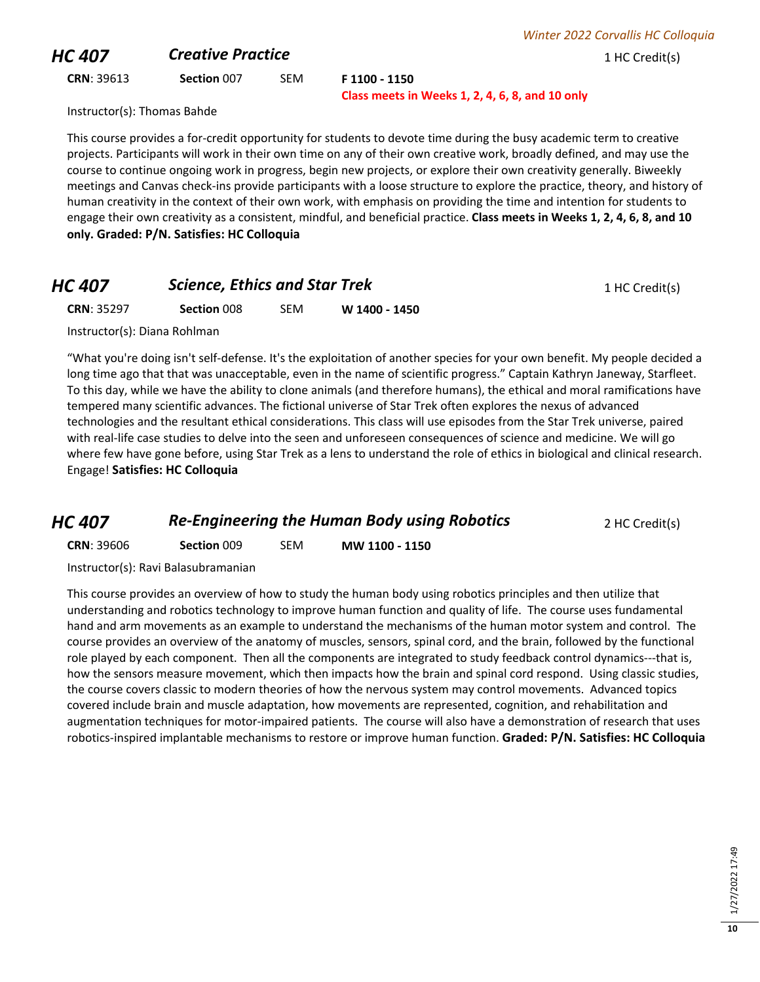## **HC 407 Creative Practice Creative Practice** 1 HC Credit(s)

**CRN**: 39613 **Section** 007 SEM **F 1100 - 1150**

**Class meets in Weeks 1, 2, 4, 6, 8, and 10 only**

Instructor(s): Thomas Bahde

This course provides a for-credit opportunity for students to devote time during the busy academic term to creative projects. Participants will work in their own time on any of their own creative work, broadly defined, and may use the course to continue ongoing work in progress, begin new projects, or explore their own creativity generally. Biweekly meetings and Canvas check-ins provide participants with a loose structure to explore the practice, theory, and history of human creativity in the context of their own work, with emphasis on providing the time and intention for students to engage their own creativity as a consistent, mindful, and beneficial practice. **Class meets in Weeks 1, 2, 4, 6, 8, and 10 only. Graded: P/N. Satisfies: HC Colloquia**

# *HC 407* **Science, Ethics and Star Trek** 1 HC Credit(s) **CRN**: 35297 **Section** 008 SEM **W 1400 - 1450**

Instructor(s): Diana Rohlman

"What you're doing isn't self-defense. It's the exploitation of another species for your own benefit. My people decided a long time ago that that was unacceptable, even in the name of scientific progress." Captain Kathryn Janeway, Starfleet. To this day, while we have the ability to clone animals (and therefore humans), the ethical and moral ramifications have tempered many scientific advances. The fictional universe of Star Trek often explores the nexus of advanced technologies and the resultant ethical considerations. This class will use episodes from the Star Trek universe, paired with real-life case studies to delve into the seen and unforeseen consequences of science and medicine. We will go where few have gone before, using Star Trek as a lens to understand the role of ethics in biological and clinical research. Engage! **Satisfies: HC Colloquia**

## *HC 407* **Re-Engineering the Human Body using Robotics 2 HC Credit(s)**

**CRN**: 39606 **Section** 009 SEM **MW 1100 - 1150**

Instructor(s): Ravi Balasubramanian

This course provides an overview of how to study the human body using robotics principles and then utilize that understanding and robotics technology to improve human function and quality of life. The course uses fundamental hand and arm movements as an example to understand the mechanisms of the human motor system and control. The course provides an overview of the anatomy of muscles, sensors, spinal cord, and the brain, followed by the functional role played by each component. Then all the components are integrated to study feedback control dynamics---that is, how the sensors measure movement, which then impacts how the brain and spinal cord respond. Using classic studies, the course covers classic to modern theories of how the nervous system may control movements. Advanced topics covered include brain and muscle adaptation, how movements are represented, cognition, and rehabilitation and augmentation techniques for motor-impaired patients. The course will also have a demonstration of research that uses robotics-inspired implantable mechanisms to restore or improve human function. **Graded: P/N. Satisfies: HC Colloquia**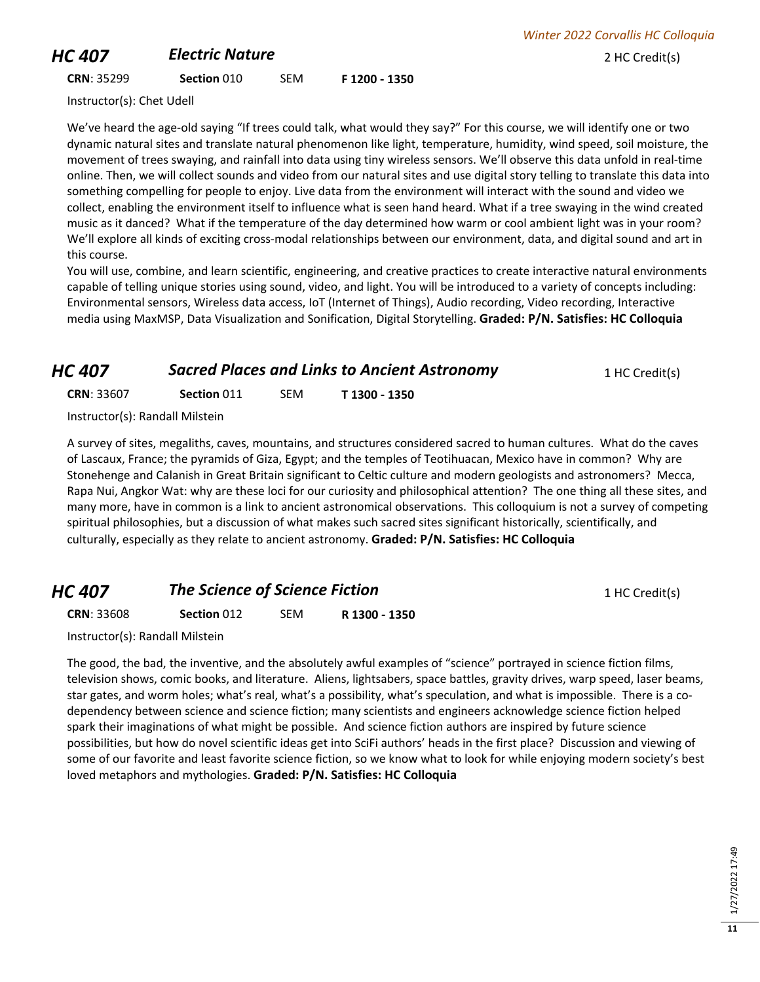## **HC 407 Electric Nature Electric Nature** 2 HC Credit(s)

*Winter 2022 Corvallis HC Colloquia*

#### **CRN**: 35299 **Section** 010 SEM **F 1200 - 1350**

Instructor(s): Chet Udell

We've heard the age-old saying "If trees could talk, what would they say?" For this course, we will identify one or two dynamic natural sites and translate natural phenomenon like light, temperature, humidity, wind speed, soil moisture, the movement of trees swaying, and rainfall into data using tiny wireless sensors. We'll observe this data unfold in real-time online. Then, we will collect sounds and video from our natural sites and use digital story telling to translate this data into something compelling for people to enjoy. Live data from the environment will interact with the sound and video we collect, enabling the environment itself to influence what is seen hand heard. What if a tree swaying in the wind created music as it danced? What if the temperature of the day determined how warm or cool ambient light was in your room? We'll explore all kinds of exciting cross-modal relationships between our environment, data, and digital sound and art in this course.

You will use, combine, and learn scientific, engineering, and creative practices to create interactive natural environments capable of telling unique stories using sound, video, and light. You will be introduced to a variety of concepts including: Environmental sensors, Wireless data access, IoT (Internet of Things), Audio recording, Video recording, Interactive media using MaxMSP, Data Visualization and Sonification, Digital Storytelling. **Graded: P/N. Satisfies: HC Colloquia**

# *HC 407* **Sacred Places and Links to Ancient Astronomy** 1 HC Credit(s)

| <b>CRN: 33607</b> | Section 011 | <b>SEM</b> | T 1300 - 1350 |
|-------------------|-------------|------------|---------------|
|                   |             |            |               |

Instructor(s): Randall Milstein

A survey of sites, megaliths, caves, mountains, and structures considered sacred to human cultures. What do the caves of Lascaux, France; the pyramids of Giza, Egypt; and the temples of Teotihuacan, Mexico have in common? Why are Stonehenge and Calanish in Great Britain significant to Celtic culture and modern geologists and astronomers? Mecca, Rapa Nui, Angkor Wat: why are these loci for our curiosity and philosophical attention? The one thing all these sites, and many more, have in common is a link to ancient astronomical observations. This colloquium is not a survey of competing spiritual philosophies, but a discussion of what makes such sacred sites significant historically, scientifically, and culturally, especially as they relate to ancient astronomy. **Graded: P/N. Satisfies: HC Colloquia**

## *HC 407* **The Science of Science Fiction 1 HC Credit(s) 1 HC Credit(s)**

**CRN**: 33608 **Section** 012 SEM **R 1300 - 1350**

Instructor(s): Randall Milstein

The good, the bad, the inventive, and the absolutely awful examples of "science" portrayed in science fiction films, television shows, comic books, and literature. Aliens, lightsabers, space battles, gravity drives, warp speed, laser beams, star gates, and worm holes; what's real, what's a possibility, what's speculation, and what is impossible. There is a codependency between science and science fiction; many scientists and engineers acknowledge science fiction helped spark their imaginations of what might be possible. And science fiction authors are inspired by future science possibilities, but how do novel scientific ideas get into SciFi authors' heads in the first place? Discussion and viewing of some of our favorite and least favorite science fiction, so we know what to look for while enjoying modern society's best loved metaphors and mythologies. **Graded: P/N. Satisfies: HC Colloquia**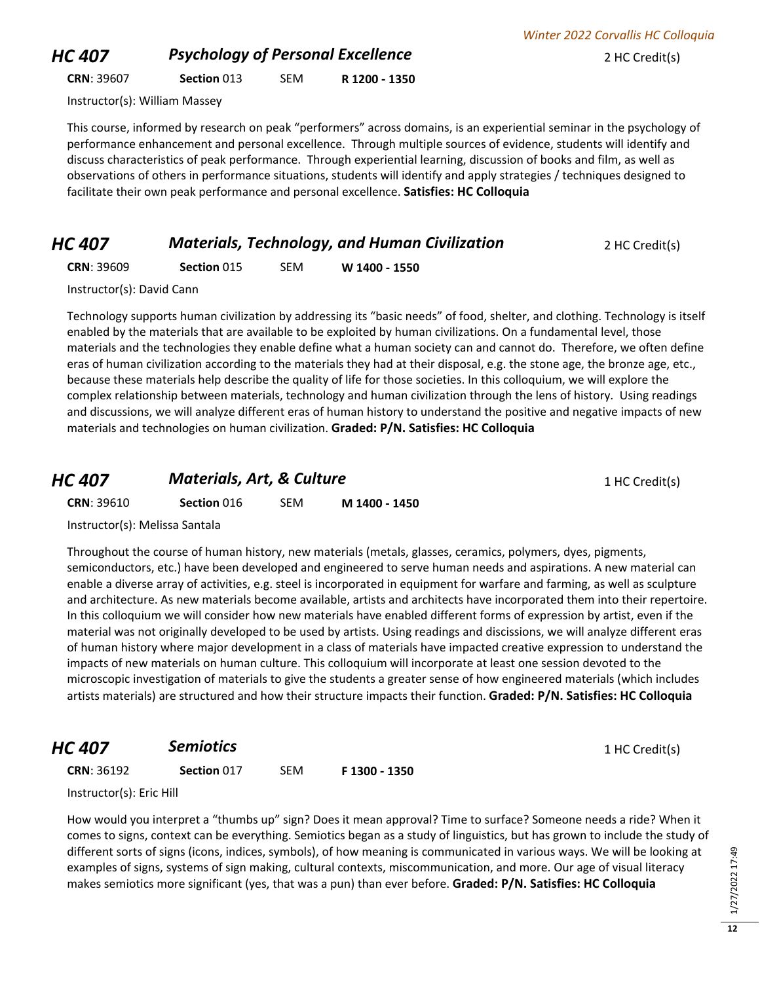## **HC 407 Psychology of Personal Excellence** 2 HC Credit(s)

**CRN**: 39607 **Section** 013 SEM **R 1200 - 1350**

Instructor(s): William Massey

This course, informed by research on peak "performers" across domains, is an experiential seminar in the psychology of performance enhancement and personal excellence. Through multiple sources of evidence, students will identify and discuss characteristics of peak performance. Through experiential learning, discussion of books and film, as well as observations of others in performance situations, students will identify and apply strategies / techniques designed to facilitate their own peak performance and personal excellence. **Satisfies: HC Colloquia**

#### *HC 407 Materials, Technology, and Human Civilization* 2 HC Credit(s)

**CRN**: 39609 **Section** 015 SEM **W 1400 - 1550**

Instructor(s): David Cann

Technology supports human civilization by addressing its "basic needs" of food, shelter, and clothing. Technology is itself enabled by the materials that are available to be exploited by human civilizations. On a fundamental level, those materials and the technologies they enable define what a human society can and cannot do. Therefore, we often define eras of human civilization according to the materials they had at their disposal, e.g. the stone age, the bronze age, etc., because these materials help describe the quality of life for those societies. In this colloquium, we will explore the complex relationship between materials, technology and human civilization through the lens of history. Using readings and discussions, we will analyze different eras of human history to understand the positive and negative impacts of new materials and technologies on human civilization. **Graded: P/N. Satisfies: HC Colloquia**

### *HC 407 Materials, Art, & Culture* 1 HC Credit(s)

**CRN**: 39610 **Section** 016 SEM **M 1400 - 1450**

Throughout the course of human history, new materials (metals, glasses, ceramics, polymers, dyes, pigments, semiconductors, etc.) have been developed and engineered to serve human needs and aspirations. A new material can enable a diverse array of activities, e.g. steel is incorporated in equipment for warfare and farming, as well as sculpture and architecture. As new materials become available, artists and architects have incorporated them into their repertoire. In this colloquium we will consider how new materials have enabled different forms of expression by artist, even if the material was not originally developed to be used by artists. Using readings and discissions, we will analyze different eras of human history where major development in a class of materials have impacted creative expression to understand the impacts of new materials on human culture. This colloquium will incorporate at least one session devoted to the microscopic investigation of materials to give the students a greater sense of how engineered materials (which includes artists materials) are structured and how their structure impacts their function. **Graded: P/N. Satisfies: HC Colloquia**

**HC 407 Semiotics Semiotics Semiotics 1** HC Credit(s)

**CRN**: 36192 **Section** 017 SEM **F 1300 - 1350**

Instructor(s): Eric Hill

How would you interpret a "thumbs up" sign? Does it mean approval? Time to surface? Someone needs a ride? When it comes to signs, context can be everything. Semiotics began as a study of linguistics, but has grown to include the study of different sorts of signs (icons, indices, symbols), of how meaning is communicated in various ways. We will be looking at examples of signs, systems of sign making, cultural contexts, miscommunication, and more. Our age of visual literacy makes semiotics more significant (yes, that was a pun) than ever before. **Graded: P/N. Satisfies: HC Colloquia**

|  | Instructor(s): Melissa Santala |  |  |  |  |
|--|--------------------------------|--|--|--|--|
|  |                                |  |  |  |  |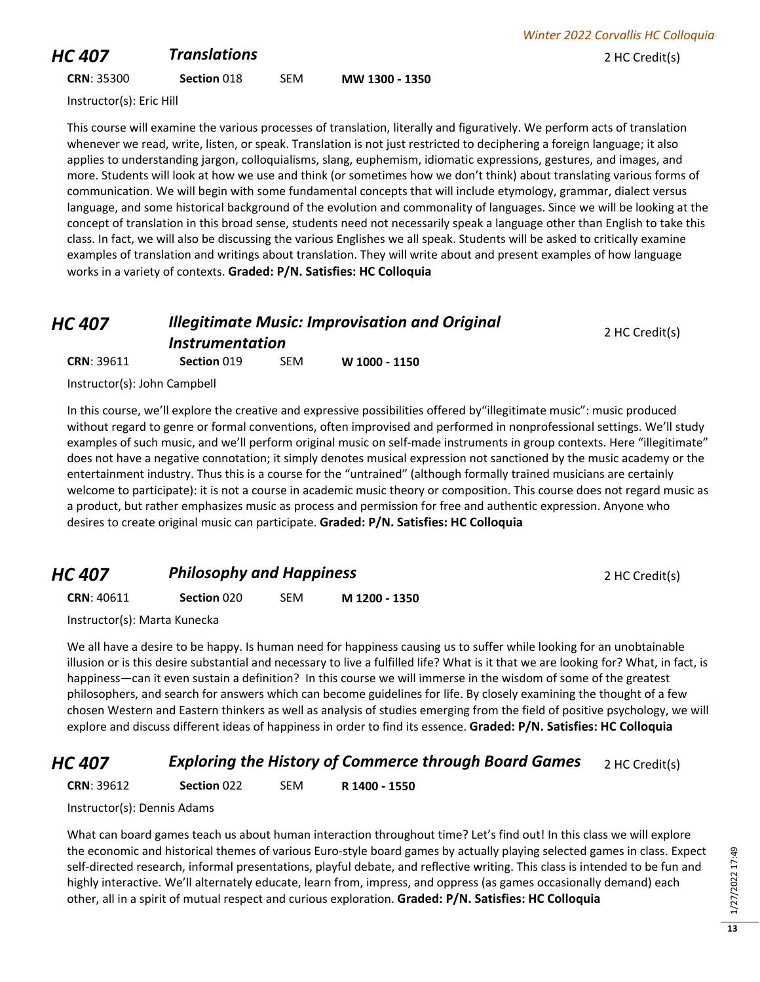# **HC 407 Translations 1.1 Translations 2 HC Credit(s)**

Instructor(s): Eric Hill

This course will examine the various processes of translation, literally and figuratively. We perform acts of translation whenever we read, write, listen, or speak. Translation is not just restricted to deciphering a foreign language; it also applies to understanding jargon, colloquialisms, slang, euphemism, idiomatic expressions, gestures, and images, and more. Students will look at how we use and think (or sometimes how we don't think) about translating various forms of communication. We will begin with some fundamental concepts that will include etymology, grammar, dialect versus language, and some historical background of the evolution and commonality of languages. Since we will be looking at the concept of translation in this broad sense, students need not necessarily speak a language other than English to take this class. In fact, we will also be discussing the various Englishes we all speak. Students will be asked to critically examine examples of translation and writings about translation. They will write about and present examples of how language works in a variety of contexts. **Graded: P/N. Satisfies: HC Colloquia**

#### *HC 407 Illegitimate Music: Improvisation and Original Instrumentation* 2 HC Credit(s) **CRN**: 39611 **Section** 019 SEM **W 1000 - 1150**

Instructor(s): John Campbell

In this course, we'll explore the creative and expressive possibilities offered by"illegitimate music": music produced without regard to genre or formal conventions, often improvised and performed in nonprofessional settings. We'll study examples of such music, and we'll perform original music on self-made instruments in group contexts. Here "illegitimate" does not have a negative connotation; it simply denotes musical expression not sanctioned by the music academy or the entertainment industry. Thus this is a course for the "untrained" (although formally trained musicians are certainly welcome to participate): it is not a course in academic music theory or composition. This course does not regard music as a product, but rather emphasizes music as process and permission for free and authentic expression. Anyone who desires to create original music can participate. **Graded: P/N. Satisfies: HC Colloquia**

## **HC 407 Philosophy and Happiness 1 Application 2 HC Credit(s) CRN**: 40611 **Section** 020 SEM **M 1200 - 1350**

Instructor(s): Marta Kunecka

We all have a desire to be happy. Is human need for happiness causing us to suffer while looking for an unobtainable illusion or is this desire substantial and necessary to live a fulfilled life? What is it that we are looking for? What, in fact, is happiness—can it even sustain a definition? In this course we will immerse in the wisdom of some of the greatest philosophers, and search for answers which can become guidelines for life. By closely examining the thought of a few chosen Western and Eastern thinkers as well as analysis of studies emerging from the field of positive psychology, we will explore and discuss different ideas of happiness in order to find its essence. **Graded: P/N. Satisfies: HC Colloquia**

## *HC 407* **Exploring the History of Commerce through Board Games** 2 HC Credit(s)

**CRN**: 39612 **Section** 022 SEM **R 1400 - 1550**

Instructor(s): Dennis Adams

What can board games teach us about human interaction throughout time? Let's find out! In this class we will explore the economic and historical themes of various Euro-style board games by actually playing selected games in class. Expect self-directed research, informal presentations, playful debate, and reflective writing. This class is intended to be fun and highly interactive. We'll alternately educate, learn from, impress, and oppress (as games occasionally demand) each other, all in a spirit of mutual respect and curious exploration. **Graded: P/N. Satisfies: HC Colloquia**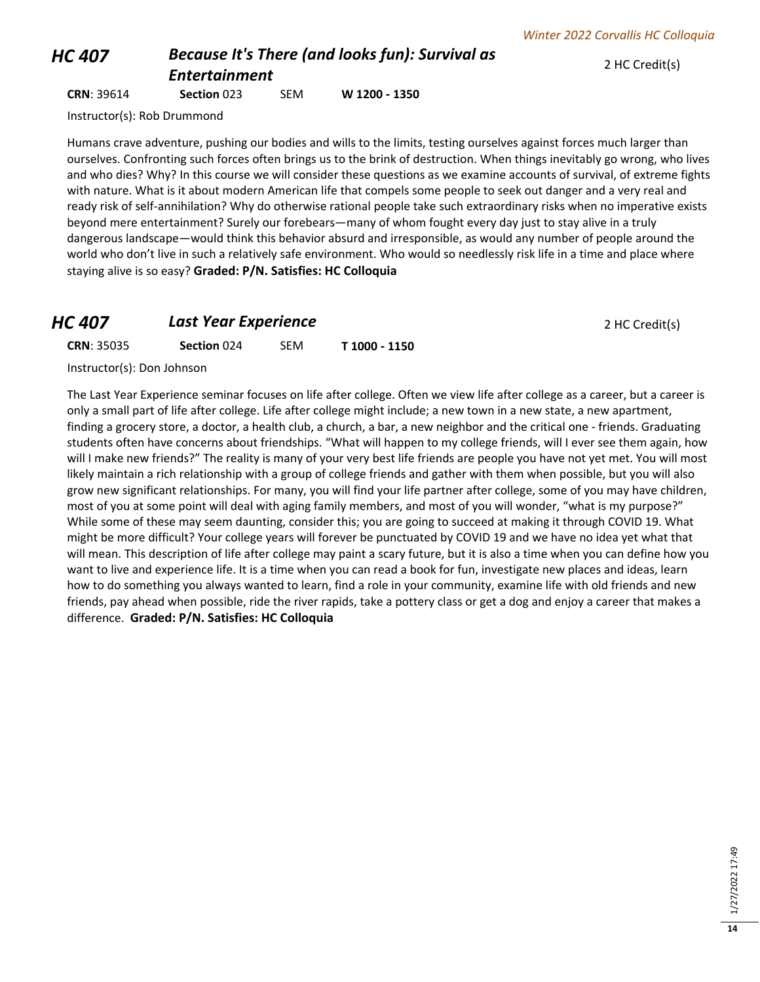2 HC Credit(s)

## *HC 407 Because It's There (and looks fun): Survival as Entertainment*

**CRN**: 39614 **Section** 023 SEM **W 1200 - 1350**

Instructor(s): Rob Drummond

Humans crave adventure, pushing our bodies and wills to the limits, testing ourselves against forces much larger than ourselves. Confronting such forces often brings us to the brink of destruction. When things inevitably go wrong, who lives and who dies? Why? In this course we will consider these questions as we examine accounts of survival, of extreme fights with nature. What is it about modern American life that compels some people to seek out danger and a very real and ready risk of self-annihilation? Why do otherwise rational people take such extraordinary risks when no imperative exists beyond mere entertainment? Surely our forebears—many of whom fought every day just to stay alive in a truly dangerous landscape—would think this behavior absurd and irresponsible, as would any number of people around the world who don't live in such a relatively safe environment. Who would so needlessly risk life in a time and place where staying alive is so easy? **Graded: P/N. Satisfies: HC Colloquia**

#### **HC 407 Last Year Experience 1999 <b>Last Year Experience** 2 HC Credit(s)

**CRN**: 35035 **Section** 024 SEM **T 1000 - 1150**

Instructor(s): Don Johnson

The Last Year Experience seminar focuses on life after college. Often we view life after college as a career, but a career is only a small part of life after college. Life after college might include; a new town in a new state, a new apartment, finding a grocery store, a doctor, a health club, a church, a bar, a new neighbor and the critical one - friends. Graduating students often have concerns about friendships. "What will happen to my college friends, will I ever see them again, how will I make new friends?" The reality is many of your very best life friends are people you have not yet met. You will most likely maintain a rich relationship with a group of college friends and gather with them when possible, but you will also grow new significant relationships. For many, you will find your life partner after college, some of you may have children, most of you at some point will deal with aging family members, and most of you will wonder, "what is my purpose?" While some of these may seem daunting, consider this; you are going to succeed at making it through COVID 19. What might be more difficult? Your college years will forever be punctuated by COVID 19 and we have no idea yet what that will mean. This description of life after college may paint a scary future, but it is also a time when you can define how you want to live and experience life. It is a time when you can read a book for fun, investigate new places and ideas, learn how to do something you always wanted to learn, find a role in your community, examine life with old friends and new friends, pay ahead when possible, ride the river rapids, take a pottery class or get a dog and enjoy a career that makes a difference. **Graded: P/N. Satisfies: HC Colloquia**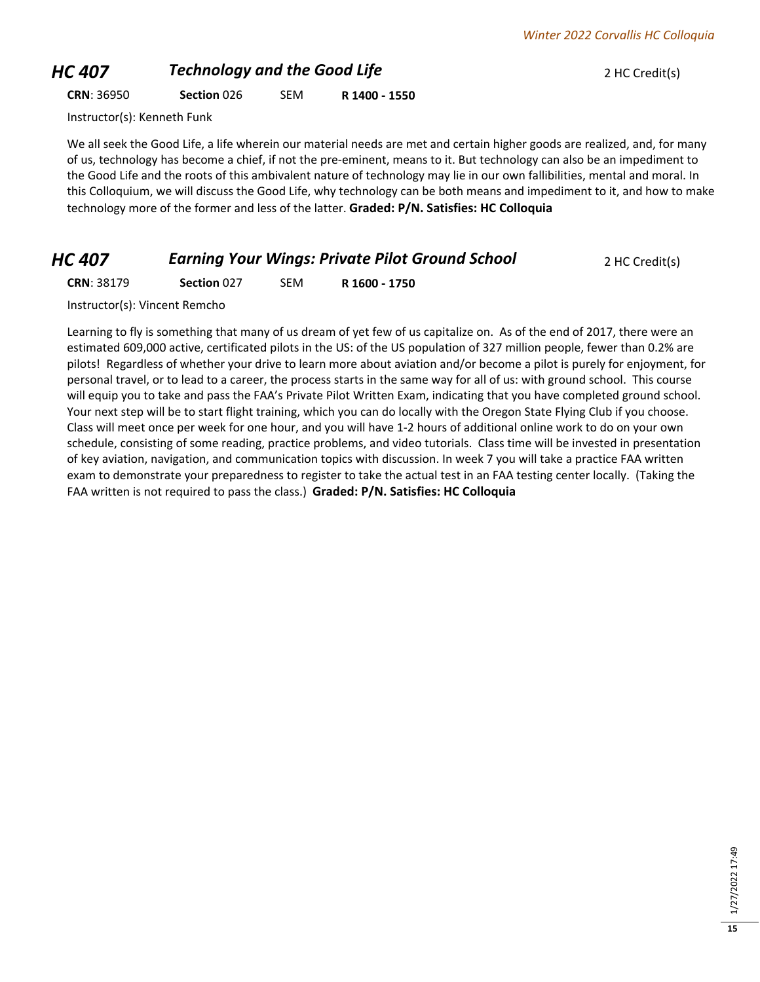# **HC 407** *Technology and the Good Life PHC 407 PHC Credit(s)*

**CRN**: 36950 **Section** 026 SEM **R 1400 - 1550**

Instructor(s): Kenneth Funk

We all seek the Good Life, a life wherein our material needs are met and certain higher goods are realized, and, for many of us, technology has become a chief, if not the pre-eminent, means to it. But technology can also be an impediment to the Good Life and the roots of this ambivalent nature of technology may lie in our own fallibilities, mental and moral. In this Colloquium, we will discuss the Good Life, why technology can be both means and impediment to it, and how to make technology more of the former and less of the latter. **Graded: P/N. Satisfies: HC Colloquia**

### *HC 407* **Earning Your Wings: Private Pilot Ground School** 2 HC Credit(s)

**CRN**: 38179 **Section** 027 SEM **R 1600 - 1750**

Instructor(s): Vincent Remcho

Learning to fly is something that many of us dream of yet few of us capitalize on. As of the end of 2017, there were an estimated 609,000 active, certificated pilots in the US: of the US population of 327 million people, fewer than 0.2% are pilots! Regardless of whether your drive to learn more about aviation and/or become a pilot is purely for enjoyment, for personal travel, or to lead to a career, the process starts in the same way for all of us: with ground school. This course will equip you to take and pass the FAA's Private Pilot Written Exam, indicating that you have completed ground school. Your next step will be to start flight training, which you can do locally with the Oregon State Flying Club if you choose. Class will meet once per week for one hour, and you will have 1-2 hours of additional online work to do on your own schedule, consisting of some reading, practice problems, and video tutorials. Class time will be invested in presentation of key aviation, navigation, and communication topics with discussion. In week 7 you will take a practice FAA written exam to demonstrate your preparedness to register to take the actual test in an FAA testing center locally. (Taking the FAA written is not required to pass the class.) **Graded: P/N. Satisfies: HC Colloquia**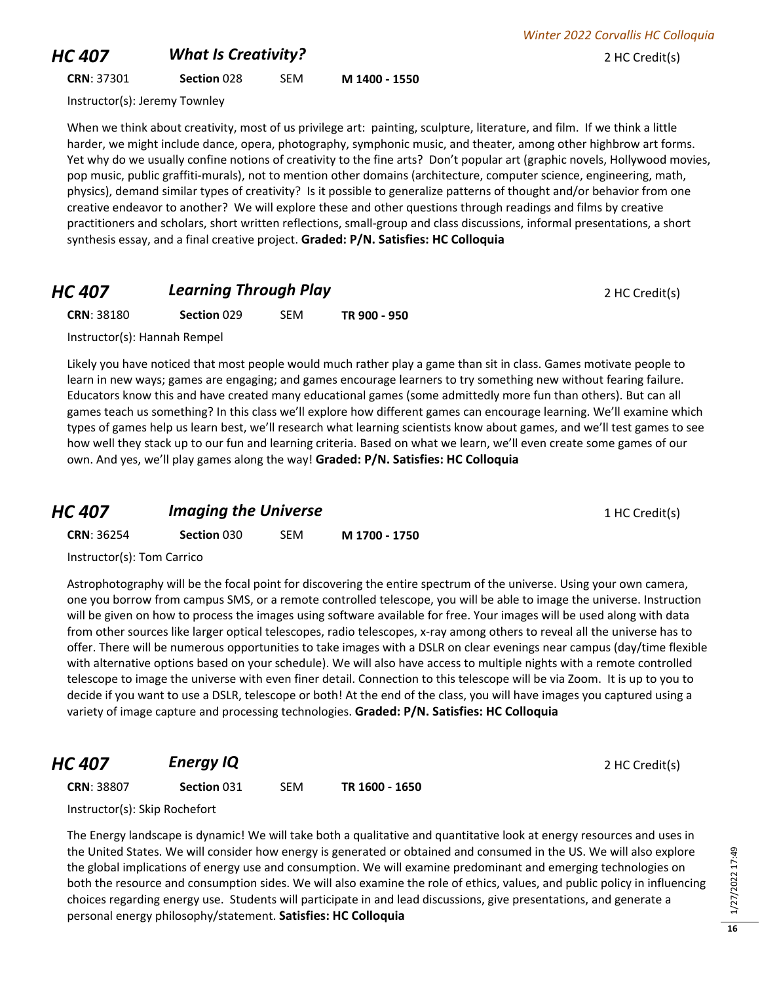## **HC 407** *What Is Creativity?* 2 HC Credit(s)

**CRN**: 37301 **Section** 028 SEM **M 1400 - 1550**

Instructor(s): Jeremy Townley

When we think about creativity, most of us privilege art: painting, sculpture, literature, and film. If we think a little harder, we might include dance, opera, photography, symphonic music, and theater, among other highbrow art forms. Yet why do we usually confine notions of creativity to the fine arts? Don't popular art (graphic novels, Hollywood movies, pop music, public graffiti-murals), not to mention other domains (architecture, computer science, engineering, math, physics), demand similar types of creativity? Is it possible to generalize patterns of thought and/or behavior from one creative endeavor to another? We will explore these and other questions through readings and films by creative practitioners and scholars, short written reflections, small-group and class discussions, informal presentations, a short synthesis essay, and a final creative project. **Graded: P/N. Satisfies: HC Colloquia**

## **HC 407 Learning Through Play 2 HC Credit(s) 2 HC Credit(s)**

**CRN**: 38180 **Section** 029 SEM **TR 900 - 950**

Instructor(s): Hannah Rempel

Likely you have noticed that most people would much rather play a game than sit in class. Games motivate people to learn in new ways; games are engaging; and games encourage learners to try something new without fearing failure. Educators know this and have created many educational games (some admittedly more fun than others). But can all games teach us something? In this class we'll explore how different games can encourage learning. We'll examine which types of games help us learn best, we'll research what learning scientists know about games, and we'll test games to see how well they stack up to our fun and learning criteria. Based on what we learn, we'll even create some games of our own. And yes, we'll play games along the way! **Graded: P/N. Satisfies: HC Colloquia**

| <b>HC 407</b>     | <b>Imaging the Universe</b> |     |               | 1 HC Credit(s) |
|-------------------|-----------------------------|-----|---------------|----------------|
| <b>CRN: 36254</b> | <b>Section 030</b>          | SEM | M 1700 - 1750 |                |
| $lath+l_n!$       |                             |     |               |                |

Instructor(s): Tom Carrico

Astrophotography will be the focal point for discovering the entire spectrum of the universe. Using your own camera, one you borrow from campus SMS, or a remote controlled telescope, you will be able to image the universe. Instruction will be given on how to process the images using software available for free. Your images will be used along with data from other sources like larger optical telescopes, radio telescopes, x-ray among others to reveal all the universe has to offer. There will be numerous opportunities to take images with a DSLR on clear evenings near campus (day/time flexible with alternative options based on your schedule). We will also have access to multiple nights with a remote controlled telescope to image the universe with even finer detail. Connection to this telescope will be via Zoom. It is up to you to decide if you want to use a DSLR, telescope or both! At the end of the class, you will have images you captured using a variety of image capture and processing technologies. **Graded: P/N. Satisfies: HC Colloquia**

**HC 407 Energy IQ Energy IQ Energy IQ** 2 HC Credit(s)

**CRN**: 38807 **Section** 031 SEM **TR 1600 - 1650**

Instructor(s): Skip Rochefort

The Energy landscape is dynamic! We will take both a qualitative and quantitative look at energy resources and uses in the United States. We will consider how energy is generated or obtained and consumed in the US. We will also explore the global implications of energy use and consumption. We will examine predominant and emerging technologies on both the resource and consumption sides. We will also examine the role of ethics, values, and public policy in influencing choices regarding energy use. Students will participate in and lead discussions, give presentations, and generate a personal energy philosophy/statement. **Satisfies: HC Colloquia**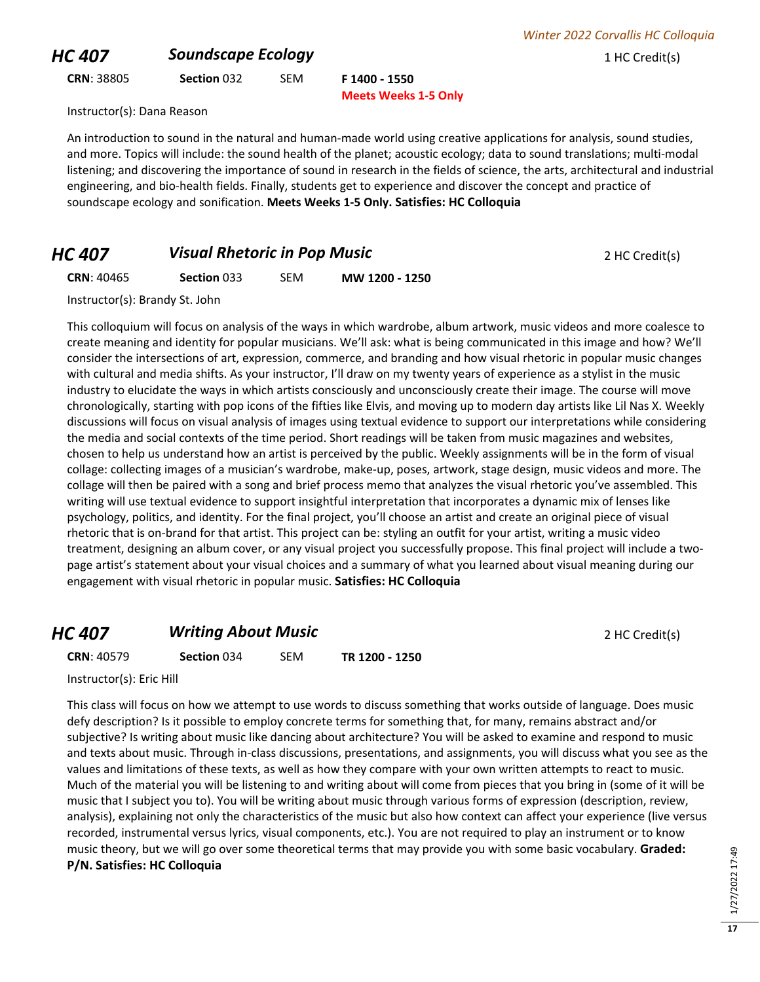## **HC 407 Soundscape Ecology 1 HC Credit(s)**

**CRN**: 38805 **Section** 032 SEM **F 1400 - 1550**

**Meets Weeks 1-5 Only**

Instructor(s): Dana Reason

An introduction to sound in the natural and human-made world using creative applications for analysis, sound studies, and more. Topics will include: the sound health of the planet; acoustic ecology; data to sound translations; multi-modal listening; and discovering the importance of sound in research in the fields of science, the arts, architectural and industrial engineering, and bio-health fields. Finally, students get to experience and discover the concept and practice of soundscape ecology and sonification. **Meets Weeks 1-5 Only. Satisfies: HC Colloquia**

## *HC 407* **Visual Rhetoric in Pop Music 1997 2 HC Credit(s)**

**CRN**: 40465 **Section** 033 SEM **MW 1200 - 1250**

Instructor(s): Brandy St. John

This colloquium will focus on analysis of the ways in which wardrobe, album artwork, music videos and more coalesce to create meaning and identity for popular musicians. We'll ask: what is being communicated in this image and how? We'll consider the intersections of art, expression, commerce, and branding and how visual rhetoric in popular music changes with cultural and media shifts. As your instructor, I'll draw on my twenty years of experience as a stylist in the music industry to elucidate the ways in which artists consciously and unconsciously create their image. The course will move chronologically, starting with pop icons of the fifties like Elvis, and moving up to modern day artists like Lil Nas X. Weekly discussions will focus on visual analysis of images using textual evidence to support our interpretations while considering the media and social contexts of the time period. Short readings will be taken from music magazines and websites, chosen to help us understand how an artist is perceived by the public. Weekly assignments will be in the form of visual collage: collecting images of a musician's wardrobe, make-up, poses, artwork, stage design, music videos and more. The collage will then be paired with a song and brief process memo that analyzes the visual rhetoric you've assembled. This writing will use textual evidence to support insightful interpretation that incorporates a dynamic mix of lenses like psychology, politics, and identity. For the final project, you'll choose an artist and create an original piece of visual rhetoric that is on-brand for that artist. This project can be: styling an outfit for your artist, writing a music video treatment, designing an album cover, or any visual project you successfully propose. This final project will include a twopage artist's statement about your visual choices and a summary of what you learned about visual meaning during our engagement with visual rhetoric in popular music. **Satisfies: HC Colloquia**

## *HC 407* **Writing About Music** *PHC 407* **Writing About Music**

**CRN**: 40579 **Section** 034 SEM **TR 1200 - 1250**

Instructor(s): Eric Hill

This class will focus on how we attempt to use words to discuss something that works outside of language. Does music defy description? Is it possible to employ concrete terms for something that, for many, remains abstract and/or subjective? Is writing about music like dancing about architecture? You will be asked to examine and respond to music and texts about music. Through in-class discussions, presentations, and assignments, you will discuss what you see as the values and limitations of these texts, as well as how they compare with your own written attempts to react to music. Much of the material you will be listening to and writing about will come from pieces that you bring in (some of it will be music that I subject you to). You will be writing about music through various forms of expression (description, review, analysis), explaining not only the characteristics of the music but also how context can affect your experience (live versus recorded, instrumental versus lyrics, visual components, etc.). You are not required to play an instrument or to know music theory, but we will go over some theoretical terms that may provide you with some basic vocabulary. **Graded: P/N. Satisfies: HC Colloquia**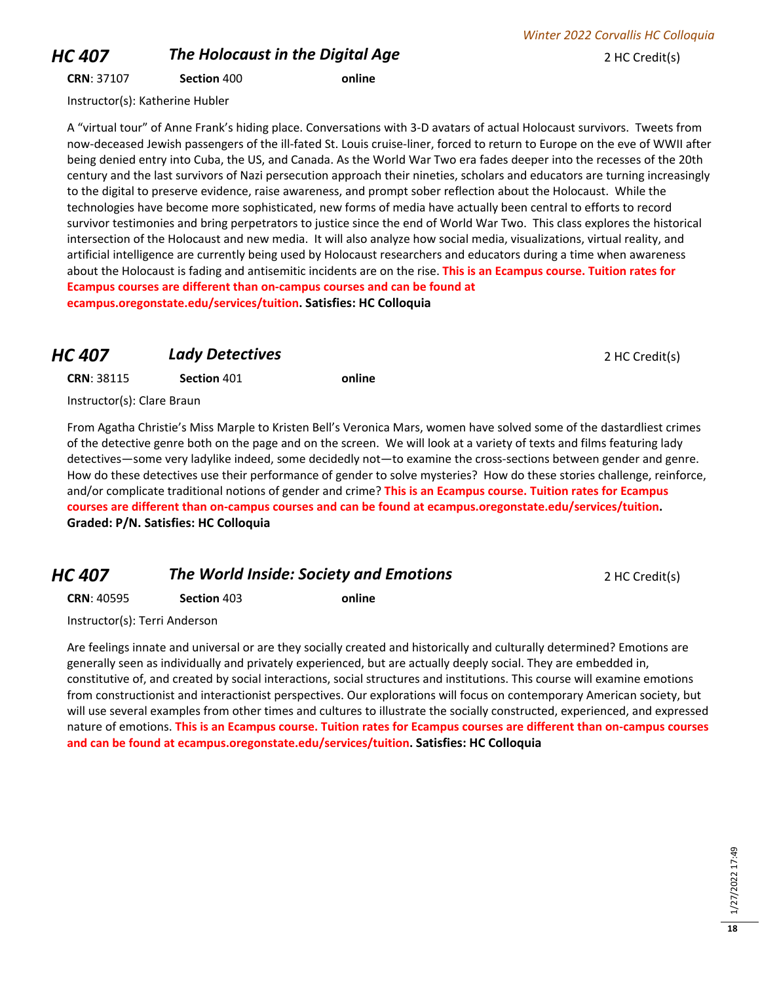# *HC 407* **The Holocaust in the Digital Age** 2 HC Credit(s)

**CRN**: 37107 **Section** 400 **online**

Instructor(s): Katherine Hubler

A "virtual tour" of Anne Frank's hiding place. Conversations with 3-D avatars of actual Holocaust survivors. Tweets from now-deceased Jewish passengers of the ill-fated St. Louis cruise-liner, forced to return to Europe on the eve of WWII after being denied entry into Cuba, the US, and Canada. As the World War Two era fades deeper into the recesses of the 20th century and the last survivors of Nazi persecution approach their nineties, scholars and educators are turning increasingly to the digital to preserve evidence, raise awareness, and prompt sober reflection about the Holocaust. While the technologies have become more sophisticated, new forms of media have actually been central to efforts to record survivor testimonies and bring perpetrators to justice since the end of World War Two. This class explores the historical intersection of the Holocaust and new media. It will also analyze how social media, visualizations, virtual reality, and artificial intelligence are currently being used by Holocaust researchers and educators during a time when awareness about the Holocaust is fading and antisemitic incidents are on the rise. **This is an Ecampus course. Tuition rates for Ecampus courses are different than on-campus courses and can be found at ecampus.oregonstate.edu/services/tuition. Satisfies: HC Colloquia**

#### **HC 407 Lady Detectives 2 HC Credit(s)**

**CRN**: 38115 **Section** 401 **online**

Instructor(s): Clare Braun

From Agatha Christie's Miss Marple to Kristen Bell's Veronica Mars, women have solved some of the dastardliest crimes of the detective genre both on the page and on the screen. We will look at a variety of texts and films featuring lady detectives—some very ladylike indeed, some decidedly not—to examine the cross-sections between gender and genre. How do these detectives use their performance of gender to solve mysteries? How do these stories challenge, reinforce, and/or complicate traditional notions of gender and crime? **This is an Ecampus course. Tuition rates for Ecampus courses are different than on-campus courses and can be found at ecampus.oregonstate.edu/services/tuition. Graded: P/N. Satisfies: HC Colloquia**

### *HC 407* **The World Inside: Society and Emotions 2 HC Credit(s)**

**CRN**: 40595 **Section** 403 **online**

Instructor(s): Terri Anderson

Are feelings innate and universal or are they socially created and historically and culturally determined? Emotions are generally seen as individually and privately experienced, but are actually deeply social. They are embedded in, constitutive of, and created by social interactions, social structures and institutions. This course will examine emotions from constructionist and interactionist perspectives. Our explorations will focus on contemporary American society, but will use several examples from other times and cultures to illustrate the socially constructed, experienced, and expressed nature of emotions. **This is an Ecampus course. Tuition rates for Ecampus courses are different than on-campus courses and can be found at ecampus.oregonstate.edu/services/tuition. Satisfies: HC Colloquia**

*Winter 2022 Corvallis HC Colloquia*

**18**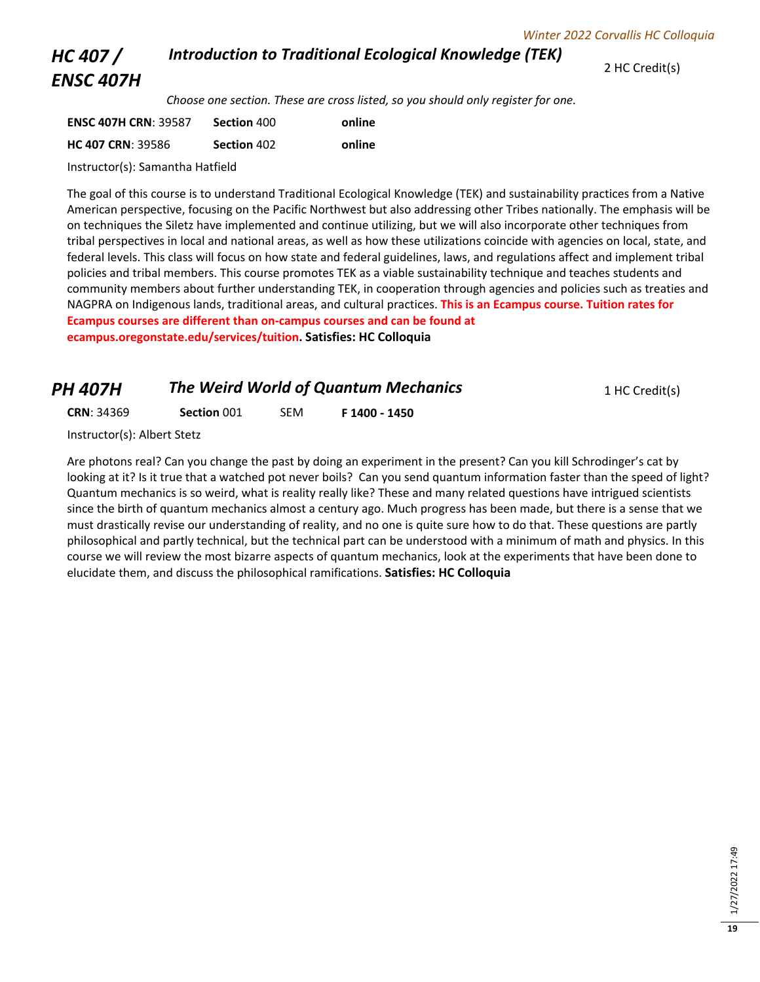#### *Introduction to Traditional Ecological Knowledge (TEK)*

2 HC Credit(s)

## *HC 407 / ENSC 407H*

*Choose one section. These are cross listed, so you should only register for one.* 

| <b>ENSC 407H CRN: 39587</b> | Section 400 | online |
|-----------------------------|-------------|--------|
| <b>HC 407 CRN: 39586</b>    | Section 402 | online |

Instructor(s): Samantha Hatfield

The goal of this course is to understand Traditional Ecological Knowledge (TEK) and sustainability practices from a Native American perspective, focusing on the Pacific Northwest but also addressing other Tribes nationally. The emphasis will be on techniques the Siletz have implemented and continue utilizing, but we will also incorporate other techniques from tribal perspectives in local and national areas, as well as how these utilizations coincide with agencies on local, state, and federal levels. This class will focus on how state and federal guidelines, laws, and regulations affect and implement tribal policies and tribal members. This course promotes TEK as a viable sustainability technique and teaches students and community members about further understanding TEK, in cooperation through agencies and policies such as treaties and NAGPRA on Indigenous lands, traditional areas, and cultural practices. **This is an Ecampus course. Tuition rates for Ecampus courses are different than on-campus courses and can be found at ecampus.oregonstate.edu/services/tuition. Satisfies: HC Colloquia**

| <b>PH 407H</b>    |             |            | The Weird World of Quantum Mechanics | 1 HC Credit(s) |
|-------------------|-------------|------------|--------------------------------------|----------------|
| <b>CRN: 34369</b> | Section 001 | <b>SEM</b> | F 1400 - 1450                        |                |

Instructor(s): Albert Stetz

Are photons real? Can you change the past by doing an experiment in the present? Can you kill Schrodinger's cat by looking at it? Is it true that a watched pot never boils? Can you send quantum information faster than the speed of light? Quantum mechanics is so weird, what is reality really like? These and many related questions have intrigued scientists since the birth of quantum mechanics almost a century ago. Much progress has been made, but there is a sense that we must drastically revise our understanding of reality, and no one is quite sure how to do that. These questions are partly philosophical and partly technical, but the technical part can be understood with a minimum of math and physics. In this course we will review the most bizarre aspects of quantum mechanics, look at the experiments that have been done to elucidate them, and discuss the philosophical ramifications. **Satisfies: HC Colloquia**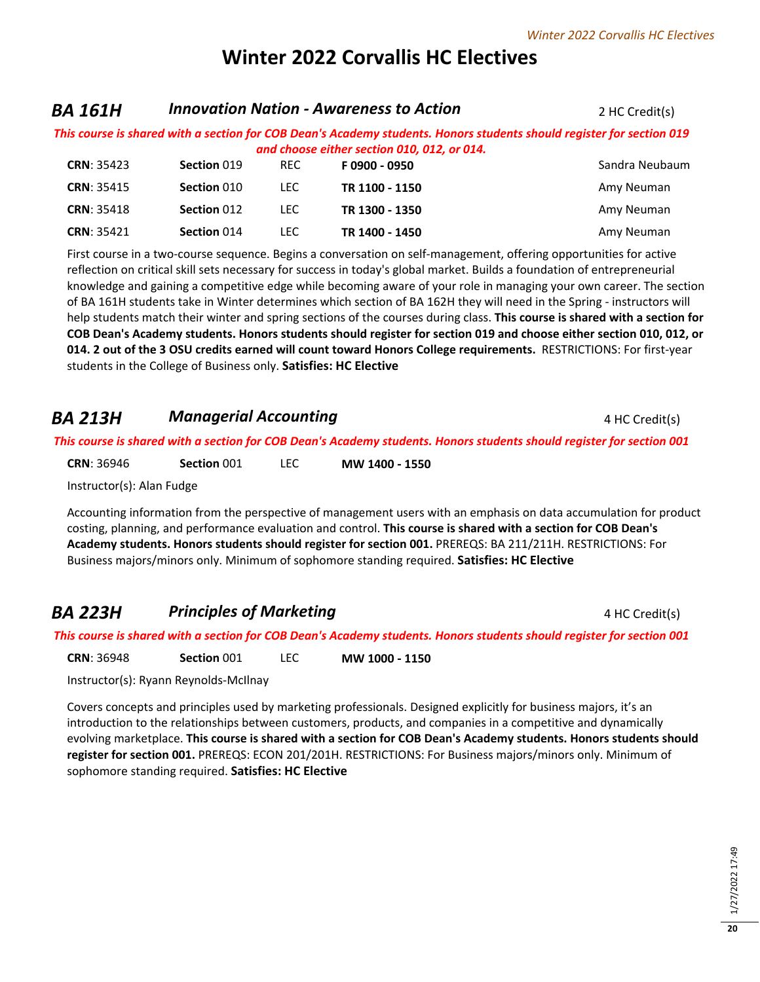# **Winter 2022 Corvallis HC Electives**

#### *BA 161H Innovation Nation - Awareness to Action* 2 HC Credit(s)

*This course is shared with a section for COB Dean's Academy students. Honors students should register for section 019 and choose either section 010, 012, or 014.*

| <b>CRN: 35423</b> | Section 019 | <b>REC</b> | F0900 - 0950   | Sandra Neubaum |
|-------------------|-------------|------------|----------------|----------------|
| <b>CRN: 35415</b> | Section 010 | LEC.       | TR 1100 - 1150 | Amy Neuman     |
| <b>CRN: 35418</b> | Section 012 | LEC.       | TR 1300 - 1350 | Amy Neuman     |
| <b>CRN: 35421</b> | Section 014 | LEC.       | TR 1400 - 1450 | Amy Neuman     |

First course in a two-course sequence. Begins a conversation on self-management, offering opportunities for active reflection on critical skill sets necessary for success in today's global market. Builds a foundation of entrepreneurial knowledge and gaining a competitive edge while becoming aware of your role in managing your own career. The section of BA 161H students take in Winter determines which section of BA 162H they will need in the Spring - instructors will help students match their winter and spring sections of the courses during class. **This course is shared with a section for COB Dean's Academy students. Honors students should register for section 019 and choose either section 010, 012, or 014. 2 out of the 3 OSU credits earned will count toward Honors College requirements.** RESTRICTIONS: For first-year students in the College of Business only. **Satisfies: HC Elective**

### **BA 213H Managerial Accounting** 4 HC Credit(s)

*This course is shared with a section for COB Dean's Academy students. Honors students should register for section 001*

**CRN**: 36946 **Section** 001 LEC **MW 1400 - 1550**

Instructor(s): Alan Fudge

Accounting information from the perspective of management users with an emphasis on data accumulation for product costing, planning, and performance evaluation and control. **This course is shared with a section for COB Dean's Academy students. Honors students should register for section 001.** PREREQS: BA 211/211H. RESTRICTIONS: For Business majors/minors only. Minimum of sophomore standing required. **Satisfies: HC Elective**

### **BA 223H Principles of Marketing A Principles of Marketing 4 HC Credit(s)**

*This course is shared with a section for COB Dean's Academy students. Honors students should register for section 001*

**CRN**: 36948 **Section** 001 LEC **MW 1000 - 1150**

Instructor(s): Ryann Reynolds-McIlnay

Covers concepts and principles used by marketing professionals. Designed explicitly for business majors, it's an introduction to the relationships between customers, products, and companies in a competitive and dynamically evolving marketplace. **This course is shared with a section for COB Dean's Academy students. Honors students should register for section 001.** PREREQS: ECON 201/201H. RESTRICTIONS: For Business majors/minors only. Minimum of sophomore standing required. **Satisfies: HC Elective**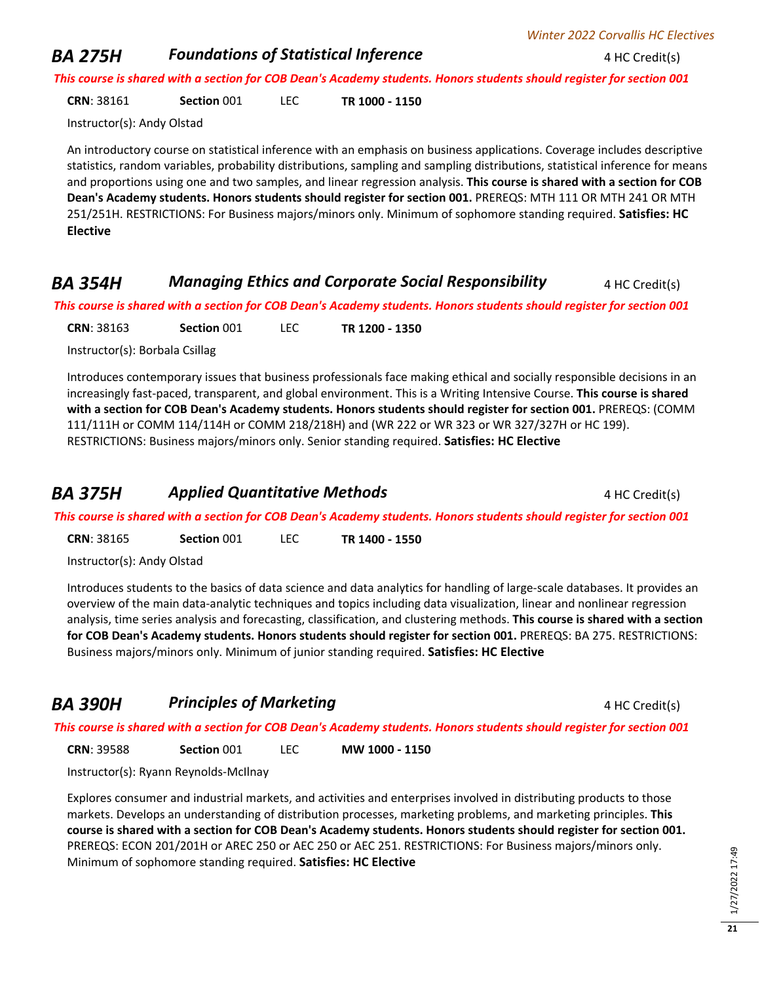#### *Winter 2022 Corvallis HC Electives*

#### **BA 275H** *Foundations of Statistical Inference* 4 HC Credit(s)

*This course is shared with a section for COB Dean's Academy students. Honors students should register for section 001*

**CRN**: 38161 **Section** 001 LEC **TR 1000 - 1150**

Instructor(s): Andy Olstad

An introductory course on statistical inference with an emphasis on business applications. Coverage includes descriptive statistics, random variables, probability distributions, sampling and sampling distributions, statistical inference for means and proportions using one and two samples, and linear regression analysis. **This course is shared with a section for COB Dean's Academy students. Honors students should register for section 001.** PREREQS: MTH 111 OR MTH 241 OR MTH 251/251H. RESTRICTIONS: For Business majors/minors only. Minimum of sophomore standing required. **Satisfies: HC Elective**

#### *BA 354H Managing Ethics and Corporate Social Responsibility* **4 HC Credit(s)**

*This course is shared with a section for COB Dean's Academy students. Honors students should register for section 001*

**CRN**: 38163 **Section** 001 LEC **TR 1200 - 1350**

Instructor(s): Borbala Csillag

Introduces contemporary issues that business professionals face making ethical and socially responsible decisions in an increasingly fast-paced, transparent, and global environment. This is a Writing Intensive Course. **This course is shared with a section for COB Dean's Academy students. Honors students should register for section 001.** PREREQS: (COMM 111/111H or COMM 114/114H or COMM 218/218H) and (WR 222 or WR 323 or WR 327/327H or HC 199). RESTRICTIONS: Business majors/minors only. Senior standing required. **Satisfies: HC Elective**

#### **BA 375H Applied Quantitative Methods 4 HC Credit(s) 4 HC Credit(s)**

*This course is shared with a section for COB Dean's Academy students. Honors students should register for section 001*

**CRN**: 38165 **Section** 001 LEC **TR 1400 - 1550**

Instructor(s): Andy Olstad

Introduces students to the basics of data science and data analytics for handling of large-scale databases. It provides an overview of the main data-analytic techniques and topics including data visualization, linear and nonlinear regression analysis, time series analysis and forecasting, classification, and clustering methods. **This course is shared with a section for COB Dean's Academy students. Honors students should register for section 001.** PREREQS: BA 275. RESTRICTIONS: Business majors/minors only. Minimum of junior standing required. **Satisfies: HC Elective**

## **BA 390H Principles of Marketing A Principles of Marketing A HC Credit(s)**

*This course is shared with a section for COB Dean's Academy students. Honors students should register for section 001*

**CRN**: 39588 **Section** 001 LEC **MW 1000 - 1150**

Instructor(s): Ryann Reynolds-McIlnay

Explores consumer and industrial markets, and activities and enterprises involved in distributing products to those markets. Develops an understanding of distribution processes, marketing problems, and marketing principles. **This course is shared with a section for COB Dean's Academy students. Honors students should register for section 001.** PREREQS: ECON 201/201H or AREC 250 or AEC 250 or AEC 251. RESTRICTIONS: For Business majors/minors only. Minimum of sophomore standing required. **Satisfies: HC Elective**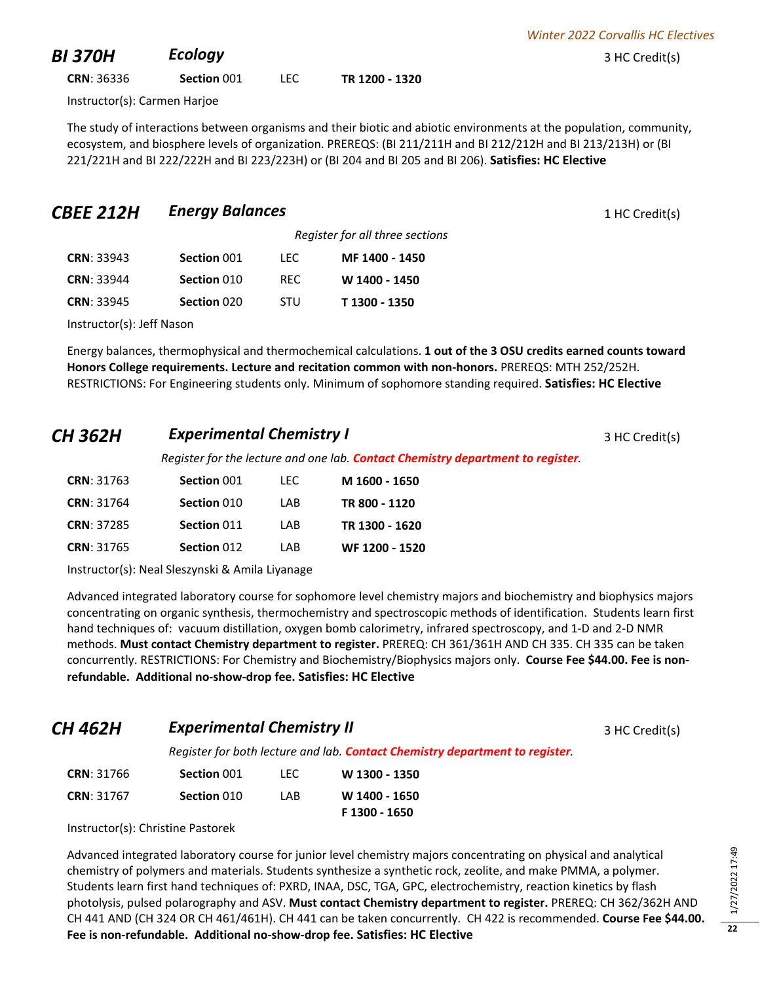**CRN**: 36336 **Section** 001 LEC **TR 1200 - 1320**

Instructor(s): Carmen Harjoe

The study of interactions between organisms and their biotic and abiotic environments at the population, community, ecosystem, and biosphere levels of organization. PREREQS: (BI 211/211H and BI 212/212H and BI 213/213H) or (BI 221/221H and BI 222/222H and BI 223/223H) or (BI 204 and BI 205 and BI 206). **Satisfies: HC Elective**

*Register for all three sections*

## **CBEE 212H Energy Balances** 1 HC Credit(s)

| <b>CRN: 33943</b> | Section 001 | TEC.       | MF 1400 - 1450 |
|-------------------|-------------|------------|----------------|
| <b>CRN: 33944</b> | Section 010 | RFC.       | W 1400 - 1450  |
| <b>CRN: 33945</b> | Section 020 | <b>STU</b> | T 1300 - 1350  |

Instructor(s): Jeff Nason

Energy balances, thermophysical and thermochemical calculations. **1 out of the 3 OSU credits earned counts toward Honors College requirements. Lecture and recitation common with non-honors.** PREREQS: MTH 252/252H. RESTRICTIONS: For Engineering students only. Minimum of sophomore standing required. **Satisfies: HC Elective**

## **CH 362H Experimental Chemistry I CH 362H Experimental Chemistry I 3 HC Credit(s)**

*Register for the lecture and one lab. Contact Chemistry department to register.* 

| <b>CRN</b> : 31763 | Section 001 | TEC. | M 1600 - 1650  |
|--------------------|-------------|------|----------------|
| <b>CRN</b> : 31764 | Section 010 | I AB | TR 800 - 1120  |
| <b>CRN: 37285</b>  | Section 011 | I AB | TR 1300 - 1620 |
| <b>CRN</b> : 31765 | Section 012 | I AB | WF 1200 - 1520 |

Instructor(s): Neal Sleszynski & Amila Liyanage

Advanced integrated laboratory course for sophomore level chemistry majors and biochemistry and biophysics majors concentrating on organic synthesis, thermochemistry and spectroscopic methods of identification. Students learn first hand techniques of: vacuum distillation, oxygen bomb calorimetry, infrared spectroscopy, and 1-D and 2-D NMR methods. **Must contact Chemistry department to register.** PREREQ: CH 361/361H AND CH 335. CH 335 can be taken concurrently. RESTRICTIONS: For Chemistry and Biochemistry/Biophysics majors only. **Course Fee \$44.00. Fee is nonrefundable. Additional no-show-drop fee. Satisfies: HC Elective**

**CH 462H Experimental Chemistry II CH 462H Experimental Chemistry II All Agency** 3 HC Credit(s)

*Register for both lecture and lab. Contact Chemistry department to register.* 

| <b>CRN: 31766</b> | Section 001 | TEC. | W 1300 - 1350                  |
|-------------------|-------------|------|--------------------------------|
| <b>CRN: 31767</b> | Section 010 | I AB | W 1400 - 1650<br>F 1300 - 1650 |

Instructor(s): Christine Pastorek

Advanced integrated laboratory course for junior level chemistry majors concentrating on physical and analytical chemistry of polymers and materials. Students synthesize a synthetic rock, zeolite, and make PMMA, a polymer. Students learn first hand techniques of: PXRD, INAA, DSC, TGA, GPC, electrochemistry, reaction kinetics by flash photolysis, pulsed polarography and ASV. **Must contact Chemistry department to register.** PREREQ: CH 362/362H AND CH 441 AND (CH 324 OR CH 461/461H). CH 441 can be taken concurrently. CH 422 is recommended. **Course Fee \$44.00. Fee is non-refundable. Additional no-show-drop fee. Satisfies: HC Elective**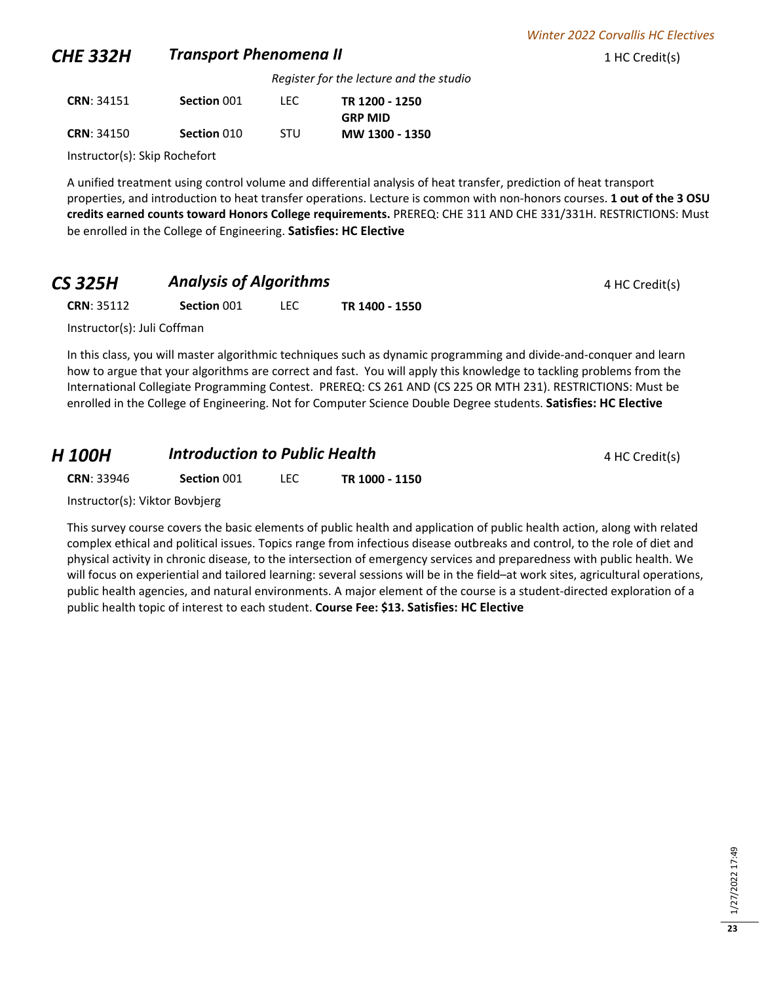## **CHE 332H •• Transport Phenomena II** 1 HC Credit(s)

*Register for the lecture and the studio*

| <b>CRN: 34151</b> | Section 001 | LEC.       | TR 1200 - 1250 |
|-------------------|-------------|------------|----------------|
|                   |             |            | <b>GRP MID</b> |
| <b>CRN: 34150</b> | Section 010 | <b>STU</b> | MW 1300 - 1350 |

Instructor(s): Skip Rochefort

A unified treatment using control volume and differential analysis of heat transfer, prediction of heat transport properties, and introduction to heat transfer operations. Lecture is common with non-honors courses. **1 out of the 3 OSU credits earned counts toward Honors College requirements.** PREREQ: CHE 311 AND CHE 331/331H. RESTRICTIONS: Must be enrolled in the College of Engineering. **Satisfies: HC Elective**

## **CS 325H Analysis of Algorithms Analysis of Algorithms 4 HC Credit(s)**

**CRN**: 35112 **Section** 001 LEC **TR 1400 - 1550**

Instructor(s): Juli Coffman

In this class, you will master algorithmic techniques such as dynamic programming and divide-and-conquer and learn how to argue that your algorithms are correct and fast. You will apply this knowledge to tackling problems from the International Collegiate Programming Contest. PREREQ: CS 261 AND (CS 225 OR MTH 231). RESTRICTIONS: Must be enrolled in the College of Engineering. Not for Computer Science Double Degree students. **Satisfies: HC Elective**

## *H* **100H Introduction to Public Health A A A A A 4 A C** redit(s)

**CRN**: 33946 **Section** 001 LEC **TR 1000 - 1150**

Instructor(s): Viktor Bovbjerg

This survey course covers the basic elements of public health and application of public health action, along with related complex ethical and political issues. Topics range from infectious disease outbreaks and control, to the role of diet and physical activity in chronic disease, to the intersection of emergency services and preparedness with public health. We will focus on experiential and tailored learning: several sessions will be in the field–at work sites, agricultural operations, public health agencies, and natural environments. A major element of the course is a student-directed exploration of a public health topic of interest to each student. **Course Fee: \$13. Satisfies: HC Elective**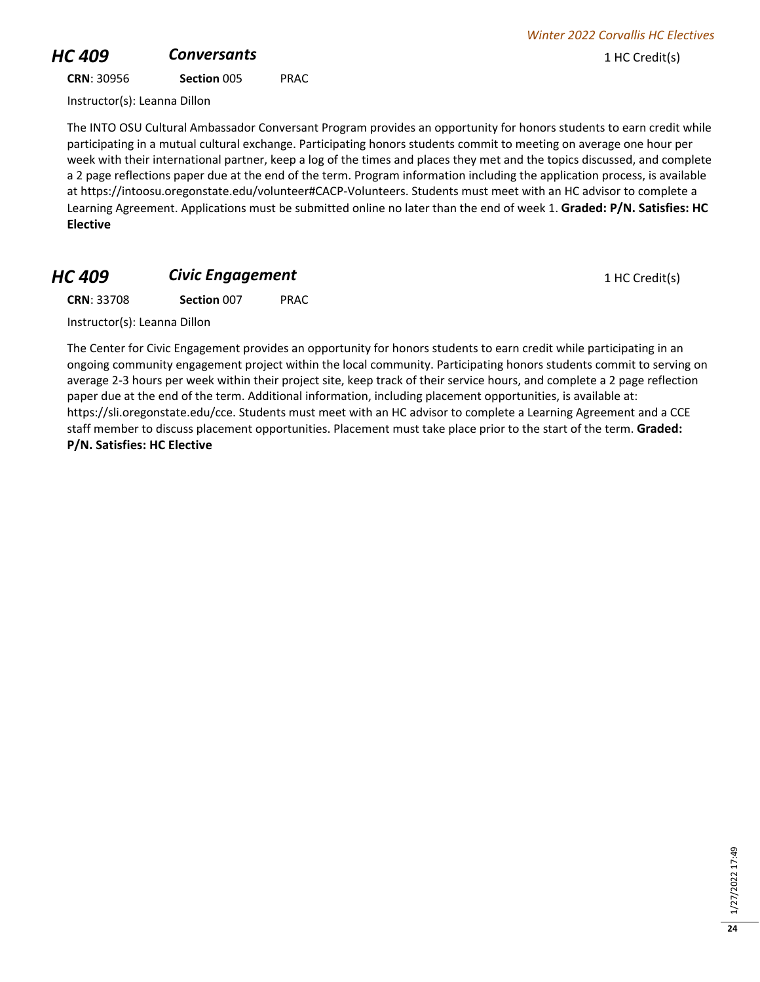# **HC 409 Conversants Conversants 1** HC Credit(s)

**CRN**: 30956 **Section** 005 PRAC

Instructor(s): Leanna Dillon

The INTO OSU Cultural Ambassador Conversant Program provides an opportunity for honors students to earn credit while participating in a mutual cultural exchange. Participating honors students commit to meeting on average one hour per week with their international partner, keep a log of the times and places they met and the topics discussed, and complete a 2 page reflections paper due at the end of the term. Program information including the application process, is available at https://intoosu.oregonstate.edu/volunteer#CACP-Volunteers. Students must meet with an HC advisor to complete a Learning Agreement. Applications must be submitted online no later than the end of week 1. **Graded: P/N. Satisfies: HC Elective**

## **HC 409 Civic Engagement Civic Engagement** 1 HC Credit(s)

**CRN**: 33708 **Section** 007 PRAC

Instructor(s): Leanna Dillon

The Center for Civic Engagement provides an opportunity for honors students to earn credit while participating in an ongoing community engagement project within the local community. Participating honors students commit to serving on average 2-3 hours per week within their project site, keep track of their service hours, and complete a 2 page reflection paper due at the end of the term. Additional information, including placement opportunities, is available at: https://sli.oregonstate.edu/cce. Students must meet with an HC advisor to complete a Learning Agreement and a CCE staff member to discuss placement opportunities. Placement must take place prior to the start of the term. **Graded: P/N. Satisfies: HC Elective**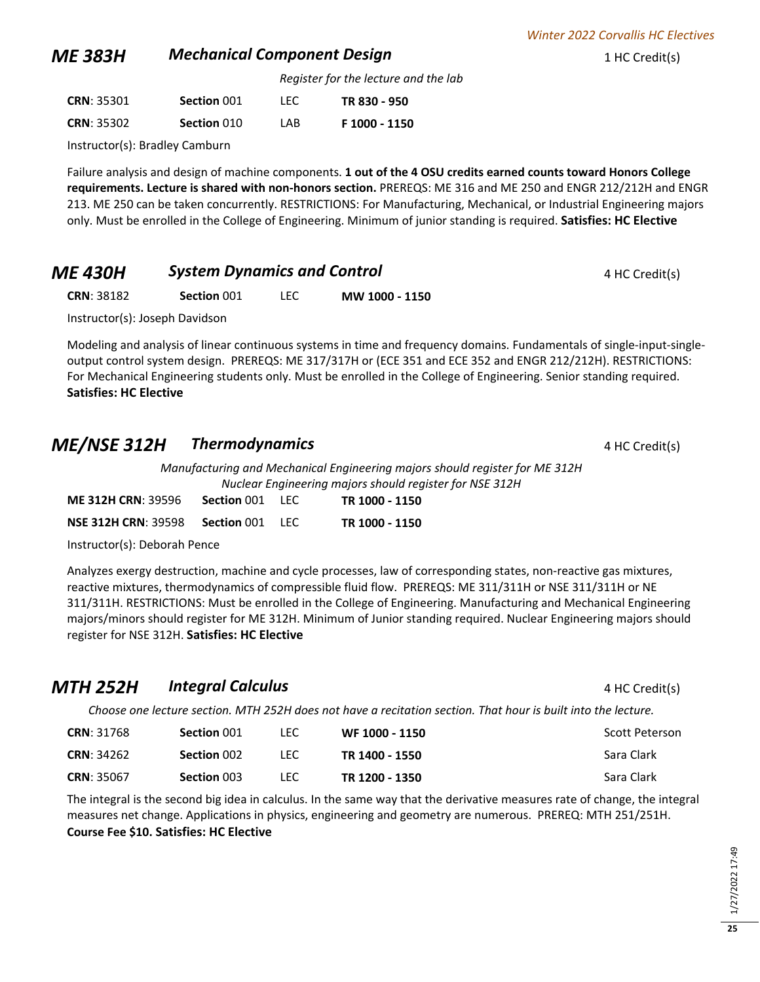#### **ME 383H Mechanical Component Design** 1 HC Credit(s)

*Register for the lecture and the lab*

| <b>CRN: 35301</b> | Section 001 | LEC. | TR 830 - 950  |
|-------------------|-------------|------|---------------|
| <b>CRN: 35302</b> | Section 010 | I AB | F 1000 - 1150 |

Instructor(s): Bradley Camburn

Failure analysis and design of machine components. **1 out of the 4 OSU credits earned counts toward Honors College requirements. Lecture is shared with non-honors section.** PREREQS: ME 316 and ME 250 and ENGR 212/212H and ENGR 213. ME 250 can be taken concurrently. RESTRICTIONS: For Manufacturing, Mechanical, or Industrial Engineering majors only. Must be enrolled in the College of Engineering. Minimum of junior standing is required. **Satisfies: HC Elective**

#### *ME 430H* **System Dynamics and Control ADD 6 Assume A HC Credit(s)**

**CRN**: 38182 **Section** 001 LEC **MW 1000 - 1150**

Instructor(s): Joseph Davidson

Modeling and analysis of linear continuous systems in time and frequency domains. Fundamentals of single-input-singleoutput control system design. PREREQS: ME 317/317H or (ECE 351 and ECE 352 and ENGR 212/212H). RESTRICTIONS: For Mechanical Engineering students only. Must be enrolled in the College of Engineering. Senior standing required. **Satisfies: HC Elective**

### **ME/NSE 312H Thermodynamics** 4 HC Credit(s)

*Manufacturing and Mechanical Engineering majors should register for ME 312H Nuclear Engineering majors should register for NSE 312H*

| <b>ME 312H CRN: 39596</b>  | <b>Section 001 LEC</b> | TR 1000 - 1150 |
|----------------------------|------------------------|----------------|
| <b>NSE 312H CRN: 39598</b> | <b>Section 001 LEC</b> | TR 1000 - 1150 |

Instructor(s): Deborah Pence

Analyzes exergy destruction, machine and cycle processes, law of corresponding states, non-reactive gas mixtures, reactive mixtures, thermodynamics of compressible fluid flow. PREREQS: ME 311/311H or NSE 311/311H or NE 311/311H. RESTRICTIONS: Must be enrolled in the College of Engineering. Manufacturing and Mechanical Engineering majors/minors should register for ME 312H. Minimum of Junior standing required. Nuclear Engineering majors should register for NSE 312H. **Satisfies: HC Elective**

| MTH 252H          | <b>Integral Calculus</b> |      |                                                                                                               | 4 HC Credit(s) |
|-------------------|--------------------------|------|---------------------------------------------------------------------------------------------------------------|----------------|
|                   |                          |      | Choose one lecture section. MTH 252H does not have a recitation section. That hour is built into the lecture. |                |
| <b>CRN: 31768</b> | Section 001              | TEC. | WF 1000 - 1150                                                                                                | Scott Peterson |
| <b>CRN: 34262</b> | Section 002              | TEC. | TR 1400 - 1550                                                                                                | Sara Clark     |

| <b>CRN: 35067</b> | Section 003 | LEC. | TR 1200 - 1350 | Sara Clark                                                                                                                 |
|-------------------|-------------|------|----------------|----------------------------------------------------------------------------------------------------------------------------|
|                   |             |      |                | The integral is the second big idea in calculus. In the same way that the derivative measures rate of change, the integral |
|                   |             |      |                | measures net change. Applications in physics, engineering and geometry are numerous. PREREQ: MTH 251/251H.                 |

**Course Fee \$10. Satisfies: HC Elective**

**25**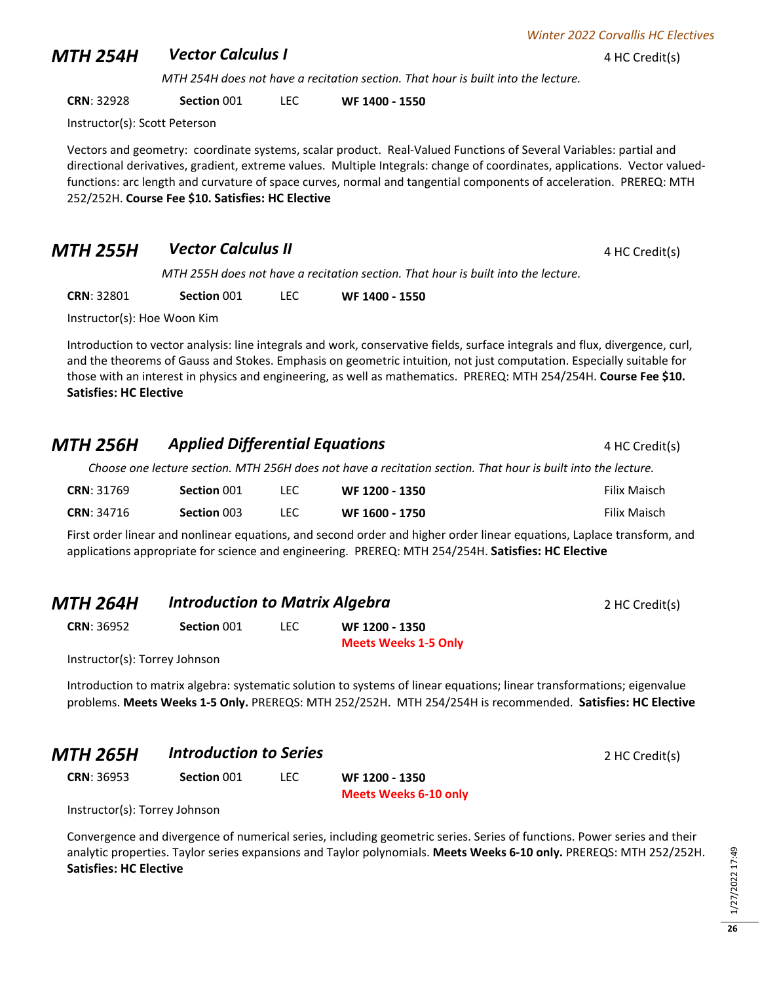**MTH 254H** *Vector Calculus I* 4 HC Credit(s)

*MTH 254H does not have a recitation section. That hour is built into the lecture.*

**CRN**: 32928 **Section** 001 LEC **WF 1400 - 1550**

Instructor(s): Scott Peterson

Vectors and geometry: coordinate systems, scalar product. Real-Valued Functions of Several Variables: partial and directional derivatives, gradient, extreme values. Multiple Integrals: change of coordinates, applications. Vector valuedfunctions: arc length and curvature of space curves, normal and tangential components of acceleration. PREREQ: MTH 252/252H. **Course Fee \$10. Satisfies: HC Elective**

## **MTH 255H** *Vector Calculus II* **A 1 4** HC Credit(s)

*MTH 255H does not have a recitation section. That hour is built into the lecture.*

**CRN**: 32801 **Section** 001 LEC **WF 1400 - 1550**

Instructor(s): Hoe Woon Kim

Introduction to vector analysis: line integrals and work, conservative fields, surface integrals and flux, divergence, curl, and the theorems of Gauss and Stokes. Emphasis on geometric intuition, not just computation. Especially suitable for those with an interest in physics and engineering, as well as mathematics. PREREQ: MTH 254/254H. **Course Fee \$10. Satisfies: HC Elective**

## **MTH 256H Applied Differential Equations 4 HC Credit(s)**

*Choose one lecture section. MTH 256H does not have a recitation section. That hour is built into the lecture.*

| <b>CRN: 31769</b> | Section 001 | LEC | WF 1200 - 1350 | Filix Maisch |
|-------------------|-------------|-----|----------------|--------------|
| <b>CRN: 34716</b> | Section 003 | LEC | WF 1600 - 1750 | Filix Maisch |

First order linear and nonlinear equations, and second order and higher order linear equations, Laplace transform, and applications appropriate for science and engineering. PREREQ: MTH 254/254H. **Satisfies: HC Elective**

| <b>MTH 264H</b>               | <b>Introduction to Matrix Algebra</b> |      |                                                                                                                        | 2 HC Credit(s) |
|-------------------------------|---------------------------------------|------|------------------------------------------------------------------------------------------------------------------------|----------------|
| <b>CRN: 36952</b>             | Section 001                           | LEC. | WF 1200 - 1350<br><b>Meets Weeks 1-5 Only</b>                                                                          |                |
| Instructor(s): Torrey Johnson |                                       |      |                                                                                                                        |                |
|                               |                                       |      | Introduction to matrix algobra: systematic solution to systems of linear equations; linear transformations; ejgenvalue |                |

Introduction to matrix algebra: systematic solution to systems of linear equations; linear transformations; eigenvalue problems. **Meets Weeks 1-5 Only.** PREREQS: MTH 252/252H. MTH 254/254H is recommended. **Satisfies: HC Elective**

#### **MTH 265H Introduction to Series** 2 HC Credit(s)

**CRN**: 36953 **Section** 001 LEC **WF 1200 - 1350**

**Meets Weeks 6-10 only**

Instructor(s): Torrey Johnson

Convergence and divergence of numerical series, including geometric series. Series of functions. Power series and their analytic properties. Taylor series expansions and Taylor polynomials. **Meets Weeks 6-10 only.** PREREQS: MTH 252/252H. **Satisfies: HC Elective**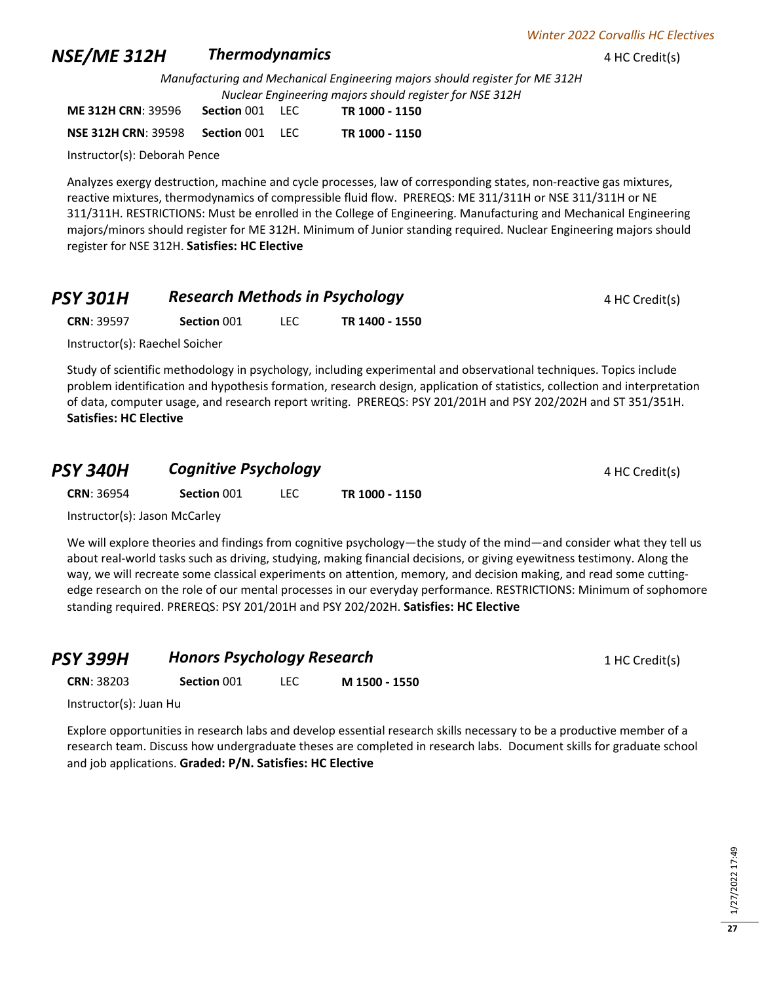#### **NSE/ME 312H Thermodynamics 1 AMPLE 4 HC Credit(s)**

*Manufacturing and Mechanical Engineering majors should register for ME 312H Nuclear Engineering majors should register for NSE 312H*

| <b>ME 312H CRN: 39596</b>  | Section 001 | . I FC | TR 1000 - 1150 |
|----------------------------|-------------|--------|----------------|
| <b>NSE 312H CRN: 39598</b> | Section 001 | - LEC  | TR 1000 - 1150 |

Instructor(s): Deborah Pence

Analyzes exergy destruction, machine and cycle processes, law of corresponding states, non-reactive gas mixtures, reactive mixtures, thermodynamics of compressible fluid flow. PREREQS: ME 311/311H or NSE 311/311H or NE 311/311H. RESTRICTIONS: Must be enrolled in the College of Engineering. Manufacturing and Mechanical Engineering majors/minors should register for ME 312H. Minimum of Junior standing required. Nuclear Engineering majors should register for NSE 312H. **Satisfies: HC Elective**

| <b>PSY 301H</b> | <b>Research Methods in Psychology</b> | 4 HC Credit(s) |
|-----------------|---------------------------------------|----------------|
|-----------------|---------------------------------------|----------------|

**CRN**: 39597 **Section** 001 LEC **TR 1400 - 1550**

Instructor(s): Raechel Soicher

Study of scientific methodology in psychology, including experimental and observational techniques. Topics include problem identification and hypothesis formation, research design, application of statistics, collection and interpretation of data, computer usage, and research report writing. PREREQS: PSY 201/201H and PSY 202/202H and ST 351/351H. **Satisfies: HC Elective**

#### **PSY 340H Cognitive Psychology ADM ACC**redit(s)

**CRN**: 36954 **Section** 001 LEC **TR 1000 - 1150**

Instructor(s): Jason McCarley

We will explore theories and findings from cognitive psychology—the study of the mind—and consider what they tell us about real-world tasks such as driving, studying, making financial decisions, or giving eyewitness testimony. Along the way, we will recreate some classical experiments on attention, memory, and decision making, and read some cuttingedge research on the role of our mental processes in our everyday performance. RESTRICTIONS: Minimum of sophomore standing required. PREREQS: PSY 201/201H and PSY 202/202H. **Satisfies: HC Elective**

## **PSY 399H Honors Psychology Research** 1 HC Credit(s)

**CRN**: 38203 **Section** 001 LEC **M 1500 - 1550**

Instructor(s): Juan Hu

Explore opportunities in research labs and develop essential research skills necessary to be a productive member of a research team. Discuss how undergraduate theses are completed in research labs. Document skills for graduate school and job applications. **Graded: P/N. Satisfies: HC Elective**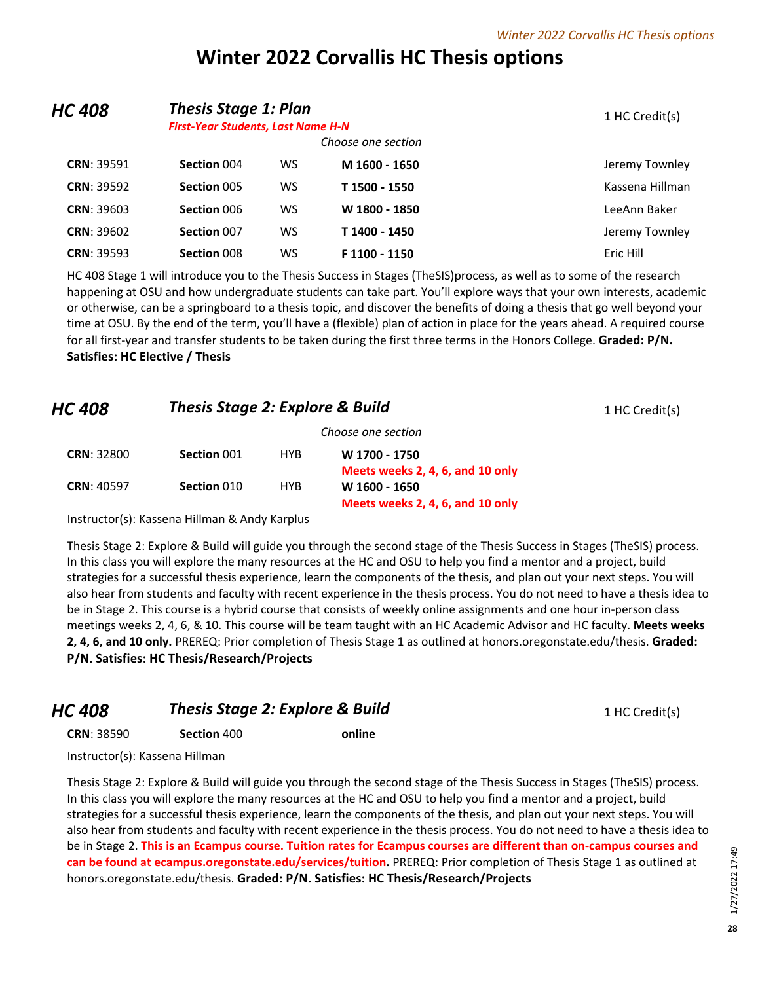# **Winter 2022 Corvallis HC Thesis options**

| HC 408            | <b>Thesis Stage 1: Plan</b><br><b>First-Year Students, Last Name H-N</b><br>Choose one section |    |               | 1 HC Credit(s)  |
|-------------------|------------------------------------------------------------------------------------------------|----|---------------|-----------------|
|                   |                                                                                                |    |               |                 |
| <b>CRN: 39591</b> | Section 004                                                                                    | WS | M 1600 - 1650 | Jeremy Townley  |
| <b>CRN: 39592</b> | Section 005                                                                                    | WS | T 1500 - 1550 | Kassena Hillman |
| <b>CRN: 39603</b> | Section 006                                                                                    | WS | W 1800 - 1850 | LeeAnn Baker    |
| <b>CRN: 39602</b> | Section 007                                                                                    | WS | T 1400 - 1450 | Jeremy Townley  |
| <b>CRN: 39593</b> | Section 008                                                                                    | ws | F 1100 - 1150 | Eric Hill       |

HC 408 Stage 1 will introduce you to the Thesis Success in Stages (TheSIS)process, as well as to some of the research happening at OSU and how undergraduate students can take part. You'll explore ways that your own interests, academic or otherwise, can be a springboard to a thesis topic, and discover the benefits of doing a thesis that go well beyond your time at OSU. By the end of the term, you'll have a (flexible) plan of action in place for the years ahead. A required course for all first-year and transfer students to be taken during the first three terms in the Honors College. **Graded: P/N. Satisfies: HC Elective / Thesis**

| <b>HC 408</b>     | <b>Thesis Stage 2: Explore &amp; Build</b> |            |                                  | 1 HC Credit(s) |
|-------------------|--------------------------------------------|------------|----------------------------------|----------------|
|                   |                                            |            | Choose one section               |                |
| <b>CRN: 32800</b> | Section 001                                | <b>HYB</b> | W 1700 - 1750                    |                |
|                   |                                            |            | Meets weeks 2, 4, 6, and 10 only |                |
| <b>CRN: 40597</b> | Section 010                                | <b>HYB</b> | W 1600 - 1650                    |                |

Instructor(s): Kassena Hillman & Andy Karplus

Thesis Stage 2: Explore & Build will guide you through the second stage of the Thesis Success in Stages (TheSIS) process. In this class you will explore the many resources at the HC and OSU to help you find a mentor and a project, build strategies for a successful thesis experience, learn the components of the thesis, and plan out your next steps. You will also hear from students and faculty with recent experience in the thesis process. You do not need to have a thesis idea to be in Stage 2. This course is a hybrid course that consists of weekly online assignments and one hour in-person class meetings weeks 2, 4, 6, & 10. This course will be team taught with an HC Academic Advisor and HC faculty. **Meets weeks 2, 4, 6, and 10 only.** PREREQ: Prior completion of Thesis Stage 1 as outlined at honors.oregonstate.edu/thesis. **Graded: P/N. Satisfies: HC Thesis/Research/Projects**

**Meets weeks 2, 4, 6, and 10 only**

| HC 408            | <b>Thesis Stage 2: Explore &amp; Build</b> |        | 1 HC Credit(s) |
|-------------------|--------------------------------------------|--------|----------------|
| <b>CRN: 38590</b> | Section 400                                | online |                |
|                   |                                            |        |                |

Instructor(s): Kassena Hillman

Thesis Stage 2: Explore & Build will guide you through the second stage of the Thesis Success in Stages (TheSIS) process. In this class you will explore the many resources at the HC and OSU to help you find a mentor and a project, build strategies for a successful thesis experience, learn the components of the thesis, and plan out your next steps. You will also hear from students and faculty with recent experience in the thesis process. You do not need to have a thesis idea to be in Stage 2. **This is an Ecampus course. Tuition rates for Ecampus courses are different than on-campus courses and can be found at ecampus.oregonstate.edu/services/tuition.** PREREQ: Prior completion of Thesis Stage 1 as outlined at honors.oregonstate.edu/thesis. **Graded: P/N. Satisfies: HC Thesis/Research/Projects**